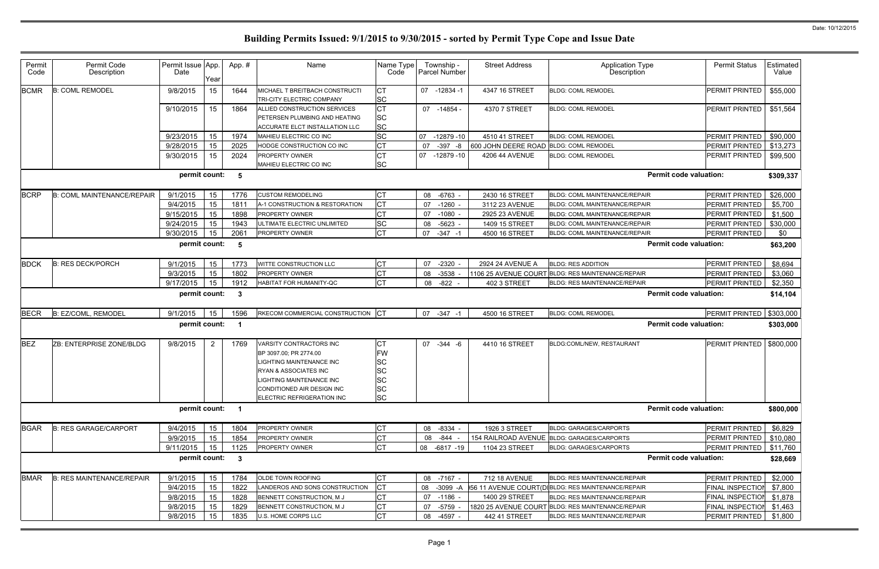| Permit<br>Code | Permit Code<br>Description        | Permit Issue App.<br>Date | Year           | App.#        | Name                                                                                                                                                                                                  | Name Type<br>Code                                                  |    | Township -<br><b>Parcel Number</b> | <b>Street Address</b>                  | <b>Application Type</b><br>Description             | <b>Permit Status</b>          | Estimated<br>Value |
|----------------|-----------------------------------|---------------------------|----------------|--------------|-------------------------------------------------------------------------------------------------------------------------------------------------------------------------------------------------------|--------------------------------------------------------------------|----|------------------------------------|----------------------------------------|----------------------------------------------------|-------------------------------|--------------------|
| <b>BCMR</b>    | <b>B: COML REMODEL</b>            | 9/8/2015                  | 15             | 1644         | MICHAEL T BREITBACH CONSTRUCTI<br>TRI-CITY ELECTRIC COMPANY                                                                                                                                           | СT<br><b>SC</b>                                                    |    | 07 -12834 -1                       | 4347 16 STREET                         | <b>BLDG: COML REMODEL</b>                          | PERMIT PRINTED                | \$55,000           |
|                |                                   | 9/10/2015                 | 15             | 1864         | ALLIED CONSTRUCTION SERVICES<br>PETERSEN PLUMBING AND HEATING<br><b>ACCURATE ELCT INSTALLATION LLC</b>                                                                                                | <b>CT</b><br><b>SC</b><br><b>SC</b>                                |    | 07 -14854 -                        | 4370 7 STREET                          | <b>BLDG: COML REMODEL</b>                          | PERMIT PRINTED                | \$51,564           |
|                |                                   | 9/23/2015                 | 15             | 1974         | MAHIEU ELECTRIC CO INC                                                                                                                                                                                | <b>SC</b>                                                          | 07 | $-12879-10$                        | 4510 41 STREET                         | <b>BLDG: COML REMODEL</b>                          | <b>PERMIT PRINTED</b>         | \$90,000           |
|                |                                   | 9/28/2015                 | 15             | 2025         | HODGE CONSTRUCTION CO INC                                                                                                                                                                             | <b>CT</b>                                                          | 07 | $-397$<br>-8                       | 600 JOHN DEERE ROAD BLDG: COML REMODEL |                                                    | PERMIT PRINTED                | \$13,273           |
|                |                                   | 9/30/2015                 | 15             | 2024         | <b>PROPERTY OWNER</b><br>MAHIEU ELECTRIC CO INC                                                                                                                                                       | <b>CT</b><br><b>SC</b>                                             | 07 | -12879 -10                         | 4206 44 AVENUE                         | <b>BLDG: COML REMODEL</b>                          | PERMIT PRINTED                | \$99,500           |
|                |                                   | permit count:             |                | 5            |                                                                                                                                                                                                       |                                                                    |    |                                    |                                        |                                                    | <b>Permit code valuation:</b> | \$309,337          |
| <b>BCRP</b>    | <b>B: COML MAINTENANCE/REPAIR</b> | 9/1/2015                  | 15             | 1776         | <b>CUSTOM REMODELING</b>                                                                                                                                                                              | <b>CT</b>                                                          |    | 08 -6763 -                         | 2430 16 STREET                         | <b>BLDG: COML MAINTENANCE/REPAIR</b>               | PERMIT PRINTED                | \$26,000           |
|                |                                   | 9/4/2015                  | 15             | 1811         | A-1 CONSTRUCTION & RESTORATION                                                                                                                                                                        | СT                                                                 | 07 | $-1260$                            | 3112 23 AVENUE                         | <b>BLDG: COML MAINTENANCE/REPAIR</b>               | PERMIT PRINTED                | \$5,700            |
|                |                                   | 9/15/2015                 | 15             | 1898         | <b>PROPERTY OWNER</b>                                                                                                                                                                                 | СT                                                                 | 07 | -1080                              | 2925 23 AVENUE                         | BLDG: COML MAINTENANCE/REPAIR                      | PERMIT PRINTED                | \$1,500            |
|                |                                   | 9/24/2015                 | 15             | 1943         | ULTIMATE ELECTRIC UNLIMITED                                                                                                                                                                           | <b>SC</b>                                                          | 08 | $-5623 -$                          | 1409 15 STREET                         | BLDG: COML MAINTENANCE/REPAIR                      | PERMIT PRINTED                | \$30,000           |
|                |                                   | 9/30/2015                 | 15             | 2061         | PROPERTY OWNER                                                                                                                                                                                        | <b>CT</b>                                                          | 07 | $-347 - 1$                         | 4500 16 STREET                         | <b>BLDG: COML MAINTENANCE/REPAIR</b>               | PERMIT PRINTED                | \$0                |
|                |                                   | permit count:             |                | 5            |                                                                                                                                                                                                       |                                                                    |    |                                    |                                        |                                                    | <b>Permit code valuation:</b> | \$63,200           |
| <b>BDCK</b>    | <b>B: RES DECK/PORCH</b>          | 9/1/2015                  | 15             | 1773         | WITTE CONSTRUCTION LLC                                                                                                                                                                                | <b>CT</b>                                                          | 07 | $-2320$                            | 2924 24 AVENUE A                       | <b>BLDG: RES ADDITION</b>                          | PERMIT PRINTED                | \$8,694            |
|                |                                   | 9/3/2015                  | 15             | 1802         | <b>PROPERTY OWNER</b>                                                                                                                                                                                 | <b>CT</b>                                                          | 08 | $-3538$                            |                                        | 1106 25 AVENUE COURT BLDG: RES MAINTENANCE/REPAIR  | PERMIT PRINTED                | \$3,060            |
|                |                                   | 9/17/2015                 | 15             | 1912         | HABITAT FOR HUMANITY-QC                                                                                                                                                                               | <b>CT</b>                                                          | 08 | $-822$                             | 402 3 STREET                           | <b>BLDG: RES MAINTENANCE/REPAIR</b>                | PERMIT PRINTED                | \$2,350            |
|                |                                   | permit count:             |                | 3            |                                                                                                                                                                                                       |                                                                    |    |                                    |                                        |                                                    | <b>Permit code valuation:</b> | \$14,104           |
| <b>BECR</b>    | <b>B: EZ/COML, REMODEL</b>        | 9/1/2015                  | 15             | 1596         | RKECOM COMMERCIAL CONSTRUCTION                                                                                                                                                                        |                                                                    | 07 | $-347$<br>- 1                      | 4500 16 STREET                         | <b>BLDG: COML REMODEL</b>                          | PERMIT PRINTED                | \$303,000          |
|                |                                   | permit count:             |                |              |                                                                                                                                                                                                       |                                                                    |    |                                    |                                        |                                                    | <b>Permit code valuation:</b> | \$303,000          |
| <b>BEZ</b>     | ZB: ENTERPRISE ZONE/BLDG          | 9/8/2015                  | $\overline{2}$ | 1769         | VARSITY CONTRACTORS INC<br>BP 3097.00; PR 2774.00<br><b>LIGHTING MAINTENANCE INC</b><br>RYAN & ASSOCIATES INC<br>LIGHTING MAINTENANCE INC<br>CONDITIONED AIR DESIGN INC<br>ELECTRIC REFRIGERATION INC | СT<br>FW<br>SC<br><b>SC</b><br><b>SC</b><br><b>SC</b><br><b>SC</b> |    | 07 -344 -6                         | 4410 16 STREET                         | BLDG:COML/NEW, RESTAURANT                          | PERMIT PRINTED                | \$800,000          |
|                |                                   | permit count: 1           |                |              |                                                                                                                                                                                                       |                                                                    |    |                                    |                                        |                                                    | <b>Permit code valuation:</b> | \$800,000          |
| <b>BGAR</b>    | <b>B: RES GARAGE/CARPORT</b>      | 9/4/2015                  | 15             | 1804         | PROPERTY OWNER                                                                                                                                                                                        | <b>CT</b>                                                          |    | 08 -8334 -                         | 1926 3 STREET                          | <b>BLDG: GARAGES/CARPORTS</b>                      | PERMIT PRINTED                | \$6,829            |
|                |                                   | 9/9/2015                  | 15             | 1854         | <b>PROPERTY OWNER</b>                                                                                                                                                                                 | <b>CT</b>                                                          | 08 | -844                               |                                        | 154 RAILROAD AVENUE BLDG: GARAGES/CARPORTS         | PERMIT PRINTED                | \$10,080           |
|                |                                   | 9/11/2015                 | 15             | 1125         | PROPERTY OWNER                                                                                                                                                                                        | Iст                                                                |    | 08 -6817 -19                       | 1104 23 STREET                         | <b>BLDG: GARAGES/CARPORTS</b>                      | PERMIT PRINTED                | \$11,760           |
|                |                                   | permit count:             |                | $\mathbf{3}$ |                                                                                                                                                                                                       |                                                                    |    |                                    |                                        |                                                    | <b>Permit code valuation:</b> | \$28,669           |
| <b>BMAR</b>    | <b>B: RES MAINTENANCE/REPAIR</b>  | 9/1/2015                  | 15             | 1784         | OLDE TOWN ROOFING                                                                                                                                                                                     | Iст                                                                |    | 08 -7167 -                         | 712 18 AVENUE                          | <b>BLDG: RES MAINTENANCE/REPAIR</b>                | PERMIT PRINTED                | \$2,000            |
|                |                                   | 9/4/2015                  | 15             | 1822         | LANDEROS AND SONS CONSTRUCTION                                                                                                                                                                        |                                                                    | 08 | -3099 -A                           |                                        | 156 11 AVENUE COURT(DIBLDG: RES MAINTENANCE/REPAIR | FINAL INSPECTION              | \$7,800            |
|                |                                   | 9/8/2015                  | 15             | 1828         | BENNETT CONSTRUCTION, M J                                                                                                                                                                             | <b>CT</b>                                                          |    | 07 -1186                           | 1400 29 STREET                         | <b>BLDG: RES MAINTENANCE/REPAIR</b>                | FINAL INSPECTION              | \$1,878            |
|                |                                   | 9/8/2015                  | 15             | 1829         | BENNETT CONSTRUCTION, M J                                                                                                                                                                             | <b>CT</b>                                                          |    | 07 -5759                           |                                        | 1820 25 AVENUE COURT BLDG: RES MAINTENANCE/REPAIR  | <b>FINAL INSPECTION</b>       | \$1,463            |
|                |                                   | 9/8/2015                  | 15             | 1835         | U.S. HOME CORPS LLC                                                                                                                                                                                   | <b>CT</b>                                                          |    | 08 -4597 -                         | 442 41 STREET                          | <b>BLDG: RES MAINTENANCE/REPAIR</b>                | PERMIT PRINTED                | \$1,800            |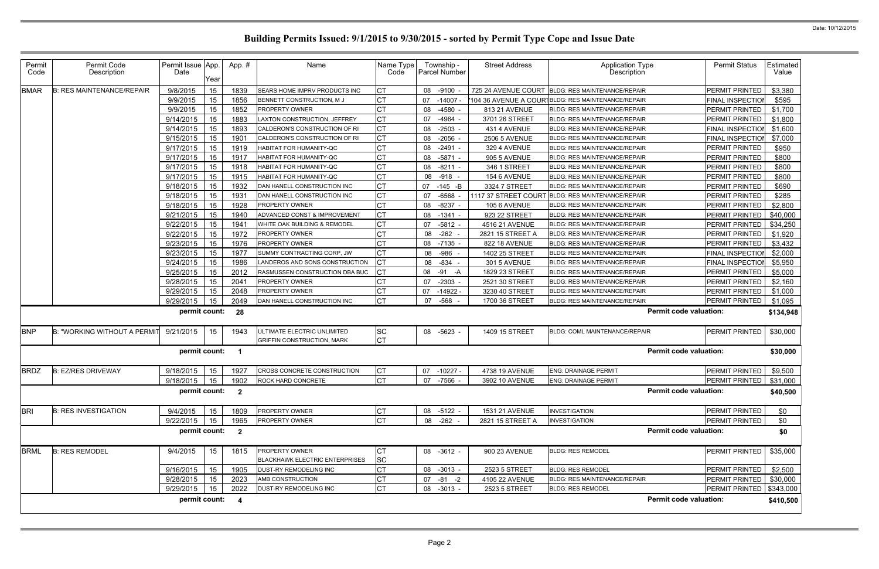| Permit<br>Code | Permit Code<br>Description         | Permit Issue App.<br>Date | Year | App.#                   | Name                                                             | Name Type<br>Code      | Township -<br><b>Parcel Number</b> | <b>Street Address</b> | Application Type<br>Description                   | <b>Permit Status</b>       | Estimated<br>Value |
|----------------|------------------------------------|---------------------------|------|-------------------------|------------------------------------------------------------------|------------------------|------------------------------------|-----------------------|---------------------------------------------------|----------------------------|--------------------|
| <b>BMAR</b>    | <b>B: RES MAINTENANCE/REPAIR</b>   | 9/8/2015                  | 15   | 1839                    | SEARS HOME IMPRV PRODUCTS INC                                    | <b>CT</b>              | 08 -9100                           | 725 24 AVENUE COURT   | <b>BLDG: RES MAINTENANCE/REPAIR</b>               | PERMIT PRINTED             | \$3,380            |
|                |                                    | 9/9/2015                  | 15   | 1856                    | BENNETT CONSTRUCTION, M J                                        | <b>CT</b>              | 07<br>$-14007$                     |                       | 104 36 AVENUE A COURTBLDG: RES MAINTENANCE/REPAIR | FINAL INSPECTION           | \$595              |
|                |                                    | 9/9/2015                  | 15   | 1852                    | PROPERTY OWNER                                                   | <b>CT</b>              | -4580<br>08                        | 813 21 AVENUE         | <b>BLDG: RES MAINTENANCE/REPAIR</b>               | <b>PERMIT PRINTED</b>      | \$1,700            |
|                |                                    | 9/14/2015                 | 15   | 1883                    | LAXTON CONSTRUCTION, JEFFREY                                     | <b>CT</b>              | -4964<br>07                        | 3701 26 STREET        | <b>BLDG: RES MAINTENANCE/REPAIR</b>               | PERMIT PRINTED             | \$1,800            |
|                |                                    | 9/14/2015                 | 15   | 1893                    | CALDERON'S CONSTRUCTION OF RI                                    | IСТ                    | $-2503$<br>08                      | 431 4 AVENUE          | <b>BLDG: RES MAINTENANCE/REPAIR</b>               | FINAL INSPECTION           | \$1,600            |
|                |                                    | 9/15/2015                 | 15   | 1901                    | CALDERON'S CONSTRUCTION OF RI                                    | <b>CT</b>              | 08 -2056                           | <b>2506 5 AVENUE</b>  | BLDG: RES MAINTENANCE/REPAIR                      | FINAL INSPECTION           | \$7,000            |
|                |                                    | 9/17/2015                 | 15   | 1919                    | HABITAT FOR HUMANITY-QC                                          | <b>CT</b>              | -2491<br>08                        | 329 4 AVENUE          | BLDG: RES MAINTENANCE/REPAIR                      | PERMIT PRINTED             | \$950              |
|                |                                    | 9/17/2015                 | 15   | 1917                    | HABITAT FOR HUMANITY-QC                                          | <b>CT</b>              | 08 -5871 -                         | 905 5 AVENUE          | BLDG: RES MAINTENANCE/REPAIR                      | <b>PERMIT PRINTED</b>      | \$800              |
|                |                                    | 9/17/2015                 | 15   | 1918                    | HABITAT FOR HUMANITY-QC                                          | <b>CT</b>              | $-8211$<br>08                      | 346 1 STREET          | <b>BLDG: RES MAINTENANCE/REPAIR</b>               | PERMIT PRINTED             | \$800              |
|                |                                    | 9/17/2015                 | 15   | 1915                    | HABITAT FOR HUMANITY-QC                                          | <b>CT</b>              | 08 -918                            | 154 6 AVENUE          | BLDG: RES MAINTENANCE/REPAIR                      | PERMIT PRINTED             | \$800              |
|                |                                    | 9/18/2015                 | 15   | 1932                    | DAN HANELL CONSTRUCTION INC                                      | <b>CT</b>              | $-145 - B$<br>07                   | 3324 7 STREET         | <b>BLDG: RES MAINTENANCE/REPAIR</b>               | PERMIT PRINTED             | \$690              |
|                |                                    | 9/18/2015                 | 15   | 1931                    | DAN HANELL CONSTRUCTION INC                                      | <b>CT</b>              | $-6568$<br>07                      | 1117 37 STREET COURT  | BLDG: RES MAINTENANCE/REPAIR                      | <b>PERMIT PRINTED</b>      | \$285              |
|                |                                    | 9/18/2015                 | 15   | 1928                    | PROPERTY OWNER                                                   | <b>CT</b>              | 08 -8237                           | 105 6 AVENUE          | BLDG: RES MAINTENANCE/REPAIR                      | PERMIT PRINTED             | \$2,800            |
|                |                                    | 9/21/2015                 | 15   | 1940                    | ADVANCED CONST & IMPROVEMENT                                     | <b>CT</b>              | 08<br>$-1341$                      | 923 22 STREET         | <b>BLDG: RES MAINTENANCE/REPAIR</b>               | PERMIT PRINTED             | \$40,000           |
|                |                                    | 9/22/2015                 | 15   | 1941                    | WHITE OAK BUILDING & REMODEL                                     | <b>CT</b>              | 07 -5812                           | 4516 21 AVENUE        | BLDG: RES MAINTENANCE/REPAIR                      | PERMIT PRINTED             | \$34,250           |
|                |                                    | 9/22/2015                 | 15   | 1972                    | PROPERTY OWNER                                                   | <b>CT</b>              | $-262$<br>08                       | 2821 15 STREET A      | BLDG: RES MAINTENANCE/REPAIR                      | PERMIT PRINTED             | \$1,920            |
|                |                                    | 9/23/2015                 | 15   | 1976                    | PROPERTY OWNER                                                   | СT                     | 08 -7135                           | 822 18 AVENUE         | <b>BLDG: RES MAINTENANCE/REPAIR</b>               | PERMIT PRINTED             | \$3,432            |
|                |                                    | 9/23/2015                 | 15   | 1977                    | SUMMY CONTRACTING CORP, JW                                       | <b>CT</b>              | 08 - 986                           | 1402 25 STREET        | <b>BLDG: RES MAINTENANCE/REPAIR</b>               | <b>FINAL INSPECTION</b>    | \$2,000            |
|                |                                    | 9/24/2015                 | 15   | 1986                    | LANDEROS AND SONS CONSTRUCTION                                   | Iст                    | 08<br>-834                         | 301 5 AVENUE          | <b>BLDG: RES MAINTENANCE/REPAIR</b>               | FINAL INSPECTION           | \$5,950            |
|                |                                    | 9/25/2015                 | 15   | 2012                    | RASMUSSEN CONSTRUCTION DBA BUC                                   | <b>ICT</b>             | $-91$<br>08<br>-A                  | 1829 23 STREET        | BLDG: RES MAINTENANCE/REPAIR                      | PERMIT PRINTED             | \$5,000            |
|                |                                    | 9/28/2015                 | 15   | 2041                    | PROPERTY OWNER                                                   | <b>CT</b>              | $-2303$<br>07                      | 2521 30 STREET        | <b>BLDG: RES MAINTENANCE/REPAIR</b>               | PERMIT PRINTED             | \$2,160            |
|                |                                    | 9/29/2015                 | 15   | 2048                    | PROPERTY OWNER                                                   | IСТ                    | 07<br>$-14922$                     | 3230 40 STREET        | BLDG: RES MAINTENANCE/REPAIR                      | PERMIT PRINTED             | \$1,000            |
|                |                                    | 9/29/2015                 | 15   | 2049                    | DAN HANELL CONSTRUCTION INC                                      | <b>CT</b>              | -568<br>07                         | 1700 36 STREET        | BLDG: RES MAINTENANCE/REPAIR                      | PERMIT PRINTED             | \$1,095            |
|                |                                    | permit count:             |      | 28                      |                                                                  |                        |                                    |                       | <b>Permit code valuation:</b>                     |                            | \$134,948          |
| <b>BNP</b>     | <b>B: "WORKING WITHOUT A PERMI</b> | 9/21/2015                 | 15   | 1943                    | ULTIMATE ELECTRIC UNLIMITED<br><b>GRIFFIN CONSTRUCTION, MARK</b> | <b>SC</b><br><b>CT</b> | 08 -5623                           | 1409 15 STREET        | BLDG: COML MAINTENANCE/REPAIR                     | PERMIT PRINTED             | \$30,000           |
|                |                                    | permit count:             |      | - 1                     |                                                                  |                        |                                    |                       | <b>Permit code valuation:</b>                     |                            | \$30,000           |
| <b>BRDZ</b>    | <b>B: EZ/RES DRIVEWAY</b>          | 9/18/2015                 | 15   | 1927                    | CROSS CONCRETE CONSTRUCTION                                      | <b>CT</b>              | 07 -10227 -                        | 4738 19 AVENUE        | <b>ENG: DRAINAGE PERMIT</b>                       | <b>PERMIT PRINTED</b>      | \$9,500            |
|                |                                    | 9/18/2015 15              |      | 1902                    | ROCK HARD CONCRETE                                               | <b>CT</b>              | 07 -7566 -                         | 3902 10 AVENUE        | <b>ENG: DRAINAGE PERMIT</b>                       | PERMIT PRINTED   \$31,000  |                    |
|                |                                    | permit count:             |      | $\overline{2}$          |                                                                  |                        |                                    |                       | <b>Permit code valuation:</b>                     |                            | \$40,500           |
| <b>BRI</b>     | <b>B: RES INVESTIGATION</b>        | 9/4/2015                  | 15   | 1809                    | PROPERTY OWNER                                                   | <b>CT</b>              | 08 -5122 -                         | 1531 21 AVENUE        | <b>INVESTIGATION</b>                              | PERMIT PRINTED             | \$0                |
|                |                                    | 9/22/2015                 | 15   | 1965                    | <b>PROPERTY OWNER</b>                                            | <b>CT</b>              | 08 -262 -                          | 2821 15 STREET A      | <b>INVESTIGATION</b>                              | <b>PERMIT PRINTED</b>      | \$0                |
|                |                                    | permit count:             |      | $\overline{\mathbf{2}}$ |                                                                  |                        |                                    |                       | <b>Permit code valuation:</b>                     |                            | \$0                |
| <b>BRML</b>    | <b>B: RES REMODEL</b>              | 9/4/2015                  | 15   | 1815                    | PROPERTY OWNER<br><b>BLACKHAWK ELECTRIC ENTERPRISES</b>          | <b>CT</b><br><b>SC</b> | 08 -3612 -                         | 900 23 AVENUE         | <b>BLDG: RES REMODEL</b>                          | PERMIT PRINTED             | \$35,000           |
|                |                                    | 9/16/2015                 | 15   | 1905                    | DUST-RY REMODELING INC                                           | <b>CT</b>              | 08 -3013 -                         | 2523 5 STREET         | <b>BLDG: RES REMODEL</b>                          | PERMIT PRINTED             | \$2,500            |
|                |                                    | 9/28/2015                 | 15   | 2023                    | AMB CONSTRUCTION                                                 | IСТ                    | 07 -81 -2                          | 4105 22 AVENUE        | BLDG: RES MAINTENANCE/REPAIR                      | <b>PERMIT PRINTED</b>      | \$30,000           |
|                |                                    | 9/29/2015                 | 15   | 2022                    | DUST-RY REMODELING INC                                           | <b>CT</b>              | 08 -3013 -                         | 2523 5 STREET         | <b>BLDG: RES REMODEL</b>                          | PERMIT PRINTED   \$343,000 |                    |
|                |                                    | permit count:             |      | -4                      |                                                                  |                        |                                    |                       | <b>Permit code valuation:</b>                     |                            | \$410,500          |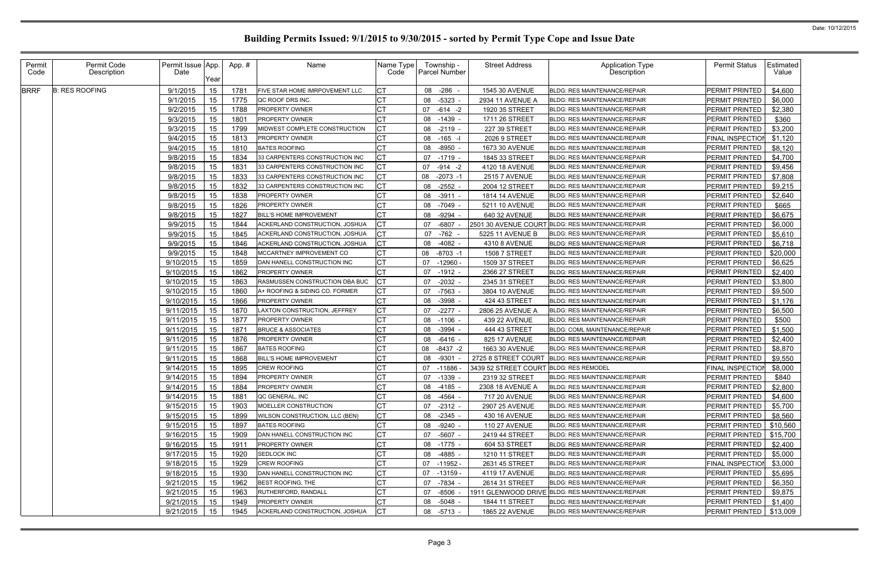| Permit<br>Code | Permit Code<br>Description | Permit Issue App.<br>Date | Year | App. # | Name                           | Name Type<br>Code | Township -<br><b>Parcel Number</b> |             | <b>Street Address</b>                  | <b>Application Type</b><br>Description            | <b>Permit Status</b>    | Estimated<br>Value |
|----------------|----------------------------|---------------------------|------|--------|--------------------------------|-------------------|------------------------------------|-------------|----------------------------------------|---------------------------------------------------|-------------------------|--------------------|
| <b>BRRF</b>    | <b>B: RES ROOFING</b>      | 9/1/2015                  | 15   | 1781   | FIVE STAR HOME IMRPOVEMENT LLC |                   | 08 -286                            |             | 1545 30 AVENUE                         | <b>BLDG: RES MAINTENANCE/REPAIR</b>               | PERMIT PRINTED          | \$4,600            |
|                |                            | 9/1/2015                  | 15   | 1775   | QC ROOF DRS INC.               | СT                | 08                                 | -5323       | 2934 11 AVENUE A                       | <b>BLDG: RES MAINTENANCE/REPAIR</b>               | PERMIT PRINTED          | \$6,000            |
|                |                            | 9/2/2015                  | 15   | 1788   | <b>PROPERTY OWNER</b>          |                   | 07 - 614 - 2                       |             | 1920 35 STREET                         | BLDG: RES MAINTENANCE/REPAIR                      | PERMIT PRINTED          | \$2,380            |
|                |                            | 9/3/2015                  | 15   | 1801   | PROPERTY OWNER                 |                   | 08                                 | -1439       | 1711 26 STREET                         | BLDG: RES MAINTENANCE/REPAIR                      | PERMIT PRINTED          | \$360              |
|                |                            | 9/3/2015                  | 15   | 1799   | MIDWEST COMPLETE CONSTRUCTION  | СT                | 08 -2119 -                         |             | 227 39 STREET                          | <b>BLDG: RES MAINTENANCE/REPAIR</b>               | PERMIT PRINTED          | \$3,200            |
|                |                            | 9/4/2015                  | 15   | 1813   | <b>PROPERTY OWNER</b>          | СT                | 08                                 | $-165 -$    | 2026 9 STREET                          | <b>BLDG: RES MAINTENANCE/REPAIR</b>               | FINAL INSPECTION        | \$1,120            |
|                |                            | 9/4/2015                  | 15   | 1810   | <b>BATES ROOFING</b>           |                   | 08 -8950                           |             | 1673 30 AVENUE                         | <b>BLDG: RES MAINTENANCE/REPAIR</b>               | PERMIT PRINTED          | \$8,120            |
|                |                            | 9/8/2015                  | 15   | 1834   | 33 CARPENTERS CONSTRUCTION INC |                   | 07 -1719                           |             | 1845 33 STREET                         | <b>BLDG: RES MAINTENANCE/REPAIR</b>               | PERMIT PRINTED          | \$4,700            |
|                |                            | 9/8/2015                  | 15   | 1831   | 33 CARPENTERS CONSTRUCTION INC | <b>CT</b>         | 07                                 | -914 -2     | 4120 18 AVENUE                         | <b>BLDG: RES MAINTENANCE/REPAIR</b>               | PERMIT PRINTED          | \$9,456            |
|                |                            | 9/8/2015                  | 15   | 1833   | 33 CARPENTERS CONSTRUCTION INC |                   | 08                                 | $-2073 -1$  | <b>2515 7 AVENUE</b>                   | <b>BLDG: RES MAINTENANCE/REPAIR</b>               | PERMIT PRINTED          | \$7,808            |
|                |                            | 9/8/2015                  | 15   | 1832   | 33 CARPENTERS CONSTRUCTION INC | СT                | 08                                 | $-2552 -$   | 2004 12 STREET                         | <b>BLDG: RES MAINTENANCE/REPAIR</b>               | PERMIT PRINTED          | \$9,215            |
|                |                            | 9/8/2015                  | 15   | 1838   | PROPERTY OWNER                 |                   | 08 -3911 -                         |             | <b>1814 14 AVENUE</b>                  | <b>BLDG: RES MAINTENANCE/REPAIR</b>               | PERMIT PRINTED          | \$2,640            |
|                |                            | 9/8/2015                  | 15   | 1826   | <b>PROPERTY OWNER</b>          |                   | 08                                 | $-7049 -$   | 5211 10 AVENUE                         | <b>BLDG: RES MAINTENANCE/REPAIR</b>               | PERMIT PRINTED          | \$665              |
|                |                            | 9/8/2015                  | 15   | 1827   | <b>BILL'S HOME IMPROVEMENT</b> |                   | 08                                 | -9294 -     | 640 32 AVENUE                          | BLDG: RES MAINTENANCE/REPAIR                      | PERMIT PRINTED          | \$6,675            |
|                |                            | 9/9/2015                  | 15   | 1844   | ACKERLAND CONSTRUCTION, JOSHUA |                   | 07                                 | -6807       |                                        | 2501 30 AVENUE COURT BLDG: RES MAINTENANCE/REPAIR | PERMIT PRINTED          | \$6,000            |
|                |                            | 9/9/2015                  | 15   | 1845   | ACKERLAND CONSTRUCTION, JOSHUA |                   | 07 -762 -                          |             | 5225 11 AVENUE B                       | <b>BLDG: RES MAINTENANCE/REPAIR</b>               | PERMIT PRINTED          | \$5,610            |
|                |                            | 9/9/2015                  | 15   | 1846   | ACKERLAND CONSTRUCTION, JOSHUA |                   | 08 -4082                           |             | 4310 8 AVENUE                          | <b>BLDG: RES MAINTENANCE/REPAIR</b>               | PERMIT PRINTED          | \$6,718            |
|                |                            | 9/9/2015                  | 15   | 1848   | MCCARTNEY IMPROVEMENT CO       | <b>CT</b>         | 08                                 | $-8703 - 1$ | <b>1508 7 STREET</b>                   | <b>BLDG: RES MAINTENANCE/REPAIR</b>               | PERMIT PRINTED          | \$20,000           |
|                |                            | 9/10/2015                 | 15   | 1859   | DAN HANELL CONSTRUCTION INC    | СT                | 07                                 | $-12960$    | 1509 37 STREET                         | BLDG: RES MAINTENANCE/REPAIR                      | PERMIT PRINTED          | \$6,625            |
|                |                            | 9/10/2015                 | 15   | 1862   | <b>PROPERTY OWNER</b>          |                   | 07                                 | $-1912 -$   | 2366 27 STREET                         | <b>BLDG: RES MAINTENANCE/REPAIR</b>               | PERMIT PRINTED          | \$2,400            |
|                |                            | 9/10/2015                 | 15   | 1863   | RASMUSSEN CONSTRUCTION DBA BUC |                   | 07                                 | $-2032 -$   | 2345 31 STREET                         | <b>BLDG: RES MAINTENANCE/REPAIR</b>               | PERMIT PRINTED          | \$3,800            |
|                |                            | 9/10/2015                 | 15   | 1860   | A+ ROOFING & SIDING CO. FORMER |                   | 07                                 | -7563       | 3804 10 AVENUE                         | BLDG: RES MAINTENANCE/REPAIR                      | PERMIT PRINTED          | \$9,500            |
|                |                            | 9/10/2015                 | 15   | 1866   | <b>PROPERTY OWNER</b>          |                   | 08                                 | -3998       | 424 43 STREET                          | BLDG: RES MAINTENANCE/REPAIR                      | PERMIT PRINTED          | \$1,176            |
|                |                            | 9/11/2015                 | 15   | 1870   | LAXTON CONSTRUCTION, JEFFREY   | СT                | 07                                 | $-2277$     | 2806 25 AVENUE A                       | <b>BLDG: RES MAINTENANCE/REPAIR</b>               | PERMIT PRINTED          | \$6,500            |
|                |                            | 9/11/2015                 | 15   | 1877   | <b>PROPERTY OWNER</b>          |                   | 08 -1106                           |             | 439 22 AVENUE                          | <b>BLDG: RES MAINTENANCE/REPAIR</b>               | PERMIT PRINTED          | \$500              |
|                |                            | 9/11/2015                 | 15   | 1871   | <b>BRUCE &amp; ASSOCIATES</b>  |                   | 08 -3994                           |             | 444 43 STREET                          | BLDG: COML MAINTENANCE/REPAIR                     | PERMIT PRINTED          | \$1,500            |
|                |                            | 9/11/2015                 | 15   | 1876   | <b>PROPERTY OWNER</b>          | СT                | 08 -6416 -                         |             | 825 17 AVENUE                          | BLDG: RES MAINTENANCE/REPAIR                      | PERMIT PRINTED          | \$2,400            |
|                |                            | 9/11/2015                 | 15   | 1867   | <b>BATES ROOFING</b>           | СT                | 08                                 | $-8437 - 2$ | 1663 30 AVENUE                         | BLDG: RES MAINTENANCE/REPAIR                      | PERMIT PRINTED          | \$8,870            |
|                |                            | 9/11/2015                 | 15   | 1868   | <b>BILL'S HOME IMPROVEMENT</b> |                   | 08                                 | $-9301$     | 2725 8 STREET COURT                    | BLDG: RES MAINTENANCE/REPAIR                      | PERMIT PRINTED          | \$9,550            |
|                |                            | 9/14/2015                 | 15   | 1895   | CREW ROOFING                   |                   | 07 -11886                          |             | 3439 52 STREET COURT BLDG: RES REMODEL |                                                   | FINAL INSPECTION        | \$8,000            |
|                |                            | 9/14/2015 15              |      | 1894   | PROPERTY OWNER                 | Iст<br>◡          | 07 -1339                           |             | 2319 32 STREET                         | BLDG: RES MAINTENANCE/REPAIR                      | PERMIT PRINTED          | \$840              |
|                |                            | 9/14/2015                 | 15   | 1884   | <b>PROPERTY OWNER</b>          |                   | 08 -4185                           |             | 2308 18 AVENUE A                       | <b>BLDG: RES MAINTENANCE/REPAIR</b>               | PERMIT PRINTED          | \$2,800            |
|                |                            | 9/14/2015                 | 15   | 1881   | QC GENERAL, INC                |                   | 08 -4564                           |             | 717 20 AVENUE                          | BLDG: RES MAINTENANCE/REPAIR                      | PERMIT PRINTED          | \$4,600            |
|                |                            | 9/15/2015                 | 15   | 1903   | MOELLER CONSTRUCTION           |                   | 07                                 | $-2312 -$   | 2907 25 AVENUE                         | BLDG: RES MAINTENANCE/REPAIR                      | PERMIT PRINTED          | \$5,700            |
|                |                            | 9/15/2015                 | 15   | 1899   | WILSON CONSTRUCTION, LLC (BEN) | СT                | 08 -2345 -                         |             | 430 16 AVENUE                          | <b>BLDG: RES MAINTENANCE/REPAIR</b>               | <b>PERMIT PRINTED</b>   | \$8,560            |
|                |                            | 9/15/2015                 | 15   | 1897   | <b>BATES ROOFING</b>           | СT                | 08 -9240 -                         |             | <b>110 27 AVENUE</b>                   | <b>BLDG: RES MAINTENANCE/REPAIR</b>               | PERMIT PRINTED          | \$10,560           |
|                |                            | 9/16/2015                 | 15   | 1909   | DAN HANELL CONSTRUCTION INC    | <b>CT</b>         | 07 -5607 -                         |             | 2419 44 STREET                         | <b>BLDG: RES MAINTENANCE/REPAIR</b>               | <b>PERMIT PRINTED</b>   | \$15,700           |
|                |                            | 9/16/2015                 | 15   | 1911   | PROPERTY OWNER                 | <b>CT</b>         | 08 -1775 -                         |             | 604 53 STREET                          | BLDG: RES MAINTENANCE/REPAIR                      | PERMIT PRINTED          | \$2,400            |
|                |                            | 9/17/2015                 | 15   | 1920   | SEDLOCK INC                    |                   | 08 -4885 -                         |             | 1210 11 STREET                         | BLDG: RES MAINTENANCE/REPAIR                      | <b>PERMIT PRINTED</b>   | \$5,000            |
|                |                            | 9/18/2015                 | 15   | 1929   | <b>CREW ROOFING</b>            |                   | 07 -11952 -                        |             | 2631 45 STREET                         | BLDG: RES MAINTENANCE/REPAIR                      | <b>FINAL INSPECTION</b> | \$3,000            |
|                |                            | 9/18/2015                 | 15   | 1930   | DAN HANELL CONSTRUCTION INC    | <b>CT</b>         | 07 -13159                          |             | 4119 17 AVENUE                         | BLDG: RES MAINTENANCE/REPAIR                      | <b>PERMIT PRINTED</b>   | \$5,695            |
|                |                            | 9/21/2015                 | 15   | 1962   | <b>BEST ROOFING, THE</b>       | СT                | 07 -7834 -                         |             | 2614 31 STREET                         | BLDG: RES MAINTENANCE/REPAIR                      | PERMIT PRINTED          | \$6,350            |
|                |                            | 9/21/2015                 | 15   | 1963   | <b>RUTHERFORD, RANDALL</b>     | <b>CT</b>         | 07                                 | -8506       |                                        | 1911 GLENWOOD DRIVE BLDG: RES MAINTENANCE/REPAIR  | <b>PERMIT PRINTED</b>   | \$9,875            |
|                |                            | 9/21/2015                 | 15   | 1949   | <b>PROPERTY OWNER</b>          |                   | 08 -5048 -                         |             | 1844 11 STREET                         | <b>BLDG: RES MAINTENANCE/REPAIR</b>               | <b>PERMIT PRINTED</b>   | \$1,400            |
|                |                            | 9/21/2015                 | 15   | 1945   | ACKERLAND CONSTRUCTION, JOSHUA | <b>CT</b>         | 08 -5713 -                         |             | 1865 22 AVENUE                         | BLDG: RES MAINTENANCE/REPAIR                      | PERMIT PRINTED          | \$13,009           |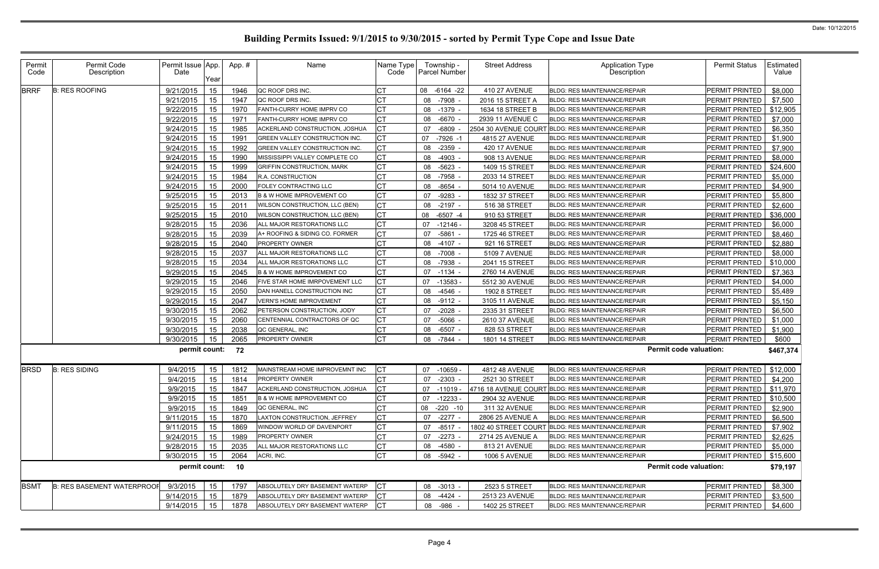| Permit<br>Code | Permit Code<br>Description        | Permit Issue App.<br>Date | Year | App.# | Name                                 | Name Type<br>Code | Township -<br><b>Parcel Number</b> | <b>Street Address</b> | <b>Application Type</b><br>Description            | <b>Permit Status</b>          | Estimated<br>Value |
|----------------|-----------------------------------|---------------------------|------|-------|--------------------------------------|-------------------|------------------------------------|-----------------------|---------------------------------------------------|-------------------------------|--------------------|
| <b>BRRF</b>    | <b>B: RES ROOFING</b>             | 9/21/2015                 | 15   | 1946  | QC ROOF DRS INC.                     |                   | 08 -6164 -22                       | 410 27 AVENUE         | <b>BLDG: RES MAINTENANCE/REPAIR</b>               | PERMIT PRINTED                | \$8,000            |
|                |                                   | 9/21/2015                 | 15   | 1947  | QC ROOF DRS INC.                     | СT                | -7908<br>08                        | 2016 15 STREET A      | BLDG: RES MAINTENANCE/REPAIR                      | PERMIT PRINTED                | \$7,500            |
|                |                                   | 9/22/2015                 | 15   | 1970  | FANTH-CURRY HOME IMPRV CO            | <b>CT</b>         | 08<br>$-1379$                      | 1634 18 STREET B      | BLDG: RES MAINTENANCE/REPAIR                      | PERMIT PRINTED                | \$12,905           |
|                |                                   | 9/22/2015                 | 15   | 1971  | FANTH-CURRY HOME IMPRV CO            | СT                | 08 -6670                           | 2939 11 AVENUE C      | <b>BLDG: RES MAINTENANCE/REPAIR</b>               | PERMIT PRINTED                | \$7,000            |
|                |                                   | 9/24/2015                 | 15   | 1985  | ACKERLAND CONSTRUCTION, JOSHUA       | СT                | 07<br>$-6809$                      | 2504 30 AVENUE COURT  | BLDG: RES MAINTENANCE/REPAIR                      | PERMIT PRINTED                | \$6,350            |
|                |                                   | 9/24/2015                 | 15   | 1991  | GREEN VALLEY CONSTRUCTION INC.       | СT                | 07<br>-7926 -1                     | 4815 27 AVENUE        | <b>BLDG: RES MAINTENANCE/REPAIR</b>               | PERMIT PRINTED                | \$1,900            |
|                |                                   | 9/24/2015                 | 15   | 1992  | GREEN VALLEY CONSTRUCTION INC.       | СT                | $-2359$<br>08                      | <b>420 17 AVENUE</b>  | <b>BLDG: RES MAINTENANCE/REPAIR</b>               | PERMIT PRINTED                | \$7,900            |
|                |                                   | 9/24/2015                 | 15   | 1990  | MISSISSIPPI VALLEY COMPLETE CO       | <b>CT</b>         | 08<br>$-4903$                      | 908 13 AVENUE         | <b>BLDG: RES MAINTENANCE/REPAIR</b>               | PERMIT PRINTED                | \$8,000            |
|                |                                   | 9/24/2015                 | 15   | 1999  | <b>GRIFFIN CONSTRUCTION, MARK</b>    | <b>CT</b>         | $-5623$<br>08                      | 1409 15 STREET        | <b>BLDG: RES MAINTENANCE/REPAIR</b>               | PERMIT PRINTED                | \$24,600           |
|                |                                   | 9/24/2015                 | 15   | 1984  | <b>R.A. CONSTRUCTION</b>             |                   | 08<br>-7958                        | 2033 14 STREET        | <b>BLDG: RES MAINTENANCE/REPAIR</b>               | PERMIT PRINTED                | \$5,000            |
|                |                                   | 9/24/2015                 | 15   | 2000  | FOLEY CONTRACTING LLC                | C1                | -8654<br>08                        | 5014 10 AVENUE        | BLDG: RES MAINTENANCE/REPAIR                      | PERMIT PRINTED                | \$4,900            |
|                |                                   | 9/25/2015                 | 15   | 2013  | <b>B &amp; W HOME IMPROVEMENT CO</b> | СT                | $-9283$<br>07                      | 1832 37 STREET        | BLDG: RES MAINTENANCE/REPAIR                      | PERMIT PRINTED                | \$5,800            |
|                |                                   | 9/25/2015                 | 15   | 2011  | WILSON CONSTRUCTION, LLC (BEN)       | СT                | 08 -2197 -                         | 516 38 STREET         | BLDG: RES MAINTENANCE/REPAIR                      | PERMIT PRINTED                | \$2,600            |
|                |                                   | 9/25/2015                 | 15   | 2010  | WILSON CONSTRUCTION, LLC (BEN)       | <b>CT</b>         | $-6507 -4$<br>08                   | 910 53 STREET         | <b>BLDG: RES MAINTENANCE/REPAIR</b>               | PERMIT PRINTED                | \$36,000           |
|                |                                   | 9/28/2015                 | 15   | 2036  | ALL MAJOR RESTORATIONS LLC           | СT                | 07<br>-12146 -                     | 3208 45 STREET        | <b>BLDG: RES MAINTENANCE/REPAIR</b>               | PERMIT PRINTED                | \$6,000            |
|                |                                   | 9/28/2015                 | 15   | 2039  | A+ ROOFING & SIDING CO. FORMER       | <b>CT</b>         | 07<br>$-5861$                      | 1725 46 STREET        | BLDG: RES MAINTENANCE/REPAIR                      | PERMIT PRINTED                | \$8,460            |
|                |                                   | 9/28/2015                 | 15   | 2040  | <b>PROPERTY OWNER</b>                | <b>CT</b>         | 08 -4107 -                         | 921 16 STREET         | <b>BLDG: RES MAINTENANCE/REPAIR</b>               | PERMIT PRINTED                | \$2,880            |
|                |                                   | 9/28/2015                 | 15   | 2037  | ALL MAJOR RESTORATIONS LLC           | IСТ               | 08 -7008                           | <b>5109 7 AVENUE</b>  | <b>BLDG: RES MAINTENANCE/REPAIR</b>               | PERMIT PRINTED                | \$8,000            |
|                |                                   | 9/28/2015                 | 15   | 2034  | ALL MAJOR RESTORATIONS LLC           | <b>CT</b>         | 08<br>-7938                        | 2041 15 STREET        | <b>BLDG: RES MAINTENANCE/REPAIR</b>               | PERMIT PRINTED                | \$10,000           |
|                |                                   | 9/29/2015                 | 15   | 2045  | <b>B &amp; W HOME IMPROVEMENT CO</b> | <b>CT</b>         | 07<br>-1134                        | 2760 14 AVENUE        | <b>BLDG: RES MAINTENANCE/REPAIR</b>               | PERMIT PRINTED                | \$7,363            |
|                |                                   | 9/29/2015                 | 15   | 2046  | FIVE STAR HOME IMRPOVEMENT LLC       | IСТ               | $-13583$<br>07                     | 5512 30 AVENUE        | <b>BLDG: RES MAINTENANCE/REPAIR</b>               | PERMIT PRINTED                | \$4,000            |
|                |                                   | 9/29/2015                 | 15   | 2050  | DAN HANELL CONSTRUCTION INC          | СT                | 08 -4546 -                         | 1902 8 STREET         | <b>BLDG: RES MAINTENANCE/REPAIR</b>               | PERMIT PRINTED                | \$5,489            |
|                |                                   | 9/29/2015                 | 15   | 2047  | <b>VERN'S HOME IMPROVEMENT</b>       | <b>CT</b>         | $-9112 -$<br>08                    | 3105 11 AVENUE        | <b>BLDG: RES MAINTENANCE/REPAIR</b>               | PERMIT PRINTED                | \$5,150            |
|                |                                   | 9/30/2015                 | 15   | 2062  | PETERSON CONSTRUCTION, JODY          | <b>CT</b>         | -2028<br>07                        | 2335 31 STREET        | <b>BLDG: RES MAINTENANCE/REPAIR</b>               | PERMIT PRINTED                | \$6,500            |
|                |                                   | 9/30/2015                 | 15   | 2060  | CENTENNIAL CONTRACTORS OF QC         | <b>CT</b>         | 07<br>-5066                        | 2610 37 AVENUE        | BLDG: RES MAINTENANCE/REPAIR                      | PERMIT PRINTED                | \$1,000            |
|                |                                   | 9/30/2015                 | 15   | 2038  | QC GENERAL, INC                      | <b>CT</b>         | 08<br>-6507 -                      | 828 53 STREET         | <b>BLDG: RES MAINTENANCE/REPAIR</b>               | PERMIT PRINTED                | \$1,900            |
|                |                                   | 9/30/2015                 | 15   | 2065  | PROPERTY OWNER                       | <b>CT</b>         | 08 -7844 -                         | 1801 14 STREET        | <b>BLDG: RES MAINTENANCE/REPAIR</b>               | PERMIT PRINTED                | \$600              |
|                |                                   | permit count:             |      | 72    |                                      |                   |                                    |                       |                                                   | <b>Permit code valuation:</b> | \$467,374          |
| <b>BRSD</b>    | <b>B: RES SIDING</b>              | 9/4/2015                  | 15   | 1812  | MAINSTREAM HOME IMPROVEMNT INC       | Iст               | 07 -10659                          | 4812 48 AVENUE        | <b>BLDG: RES MAINTENANCE/REPAIR</b>               | PERMIT PRINTED                | \$12,000           |
|                |                                   | 9/4/2015 15               |      | 1814  | PROPERTY OWNER                       | <b>CT</b>         | 07 - 2303 -                        | 2521 30 STREET        | BLDG: RES MAINTENANCE/REPAIR                      | PERMIT PRINTED   \$4,200      |                    |
|                |                                   | 9/9/2015                  | 15   | 1847  | ACKERLAND CONSTRUCTION, JOSHUA       | Iст               | $07 - 11019$                       |                       | 4716 18 AVENUE COURT BLDG: RES MAINTENANCE/REPAIR | PERMIT PRINTED   \$11,970     |                    |
|                |                                   | 9/9/2015                  | 15   | 1851  | <b>B &amp; W HOME IMPROVEMENT CO</b> | СT                | 07 -12233 -                        | 2904 32 AVENUE        | BLDG: RES MAINTENANCE/REPAIR                      | PERMIT PRINTED   \$10,500     |                    |
|                |                                   | 9/9/2015                  | 15   | 1849  | QC GENERAL, INC                      | СT                | 08 -220 -10                        | 311 32 AVENUE         | BLDG: RES MAINTENANCE/REPAIR                      | PERMIT PRINTED                | \$2,900            |
|                |                                   | 9/11/2015                 | 15   | 1870  | LAXTON CONSTRUCTION, JEFFREY         | <b>CT</b>         | 07 -2277 -                         | 2806 25 AVENUE A      | <b>BLDG: RES MAINTENANCE/REPAIR</b>               | PERMIT PRINTED                | \$6,500            |
|                |                                   | 9/11/2015                 | 15   | 1869  | WINDOW WORLD OF DAVENPORT            | СT                | 07 -8517                           |                       | 1802 40 STREET COURT BLDG: RES MAINTENANCE/REPAIR | PERMIT PRINTED                | \$7,902            |
|                |                                   | 9/24/2015                 | 15   | 1989  | PROPERTY OWNER                       | СT                | 07 -2273                           | 2714 25 AVENUE A      | BLDG: RES MAINTENANCE/REPAIR                      | PERMIT PRINTED                | \$2,625            |
|                |                                   | 9/28/2015                 | 15   | 2035  | ALL MAJOR RESTORATIONS LLC           | СT                | 08 -4580 -                         | 813 21 AVENUE         | BLDG: RES MAINTENANCE/REPAIR                      | PERMIT PRINTED                | \$5,000            |
|                |                                   | 9/30/2015                 | 15   | 2064  | ACRI, INC.                           | <b>CT</b>         | 08 -5942 -                         | <b>1006 5 AVENUE</b>  | BLDG: RES MAINTENANCE/REPAIR                      | PERMIT PRINTED                | \$15,600           |
|                |                                   | permit count:             |      | 10    |                                      |                   |                                    |                       |                                                   | <b>Permit code valuation:</b> | \$79,197           |
| <b>BSMT</b>    | <b>B: RES BASEMENT WATERPROOL</b> | 9/3/2015                  | 15   | 1797  | ABSOLUTELY DRY BASEMENT WATERP       | СT                | 08 -3013 -                         | 2523 5 STREET         | BLDG: RES MAINTENANCE/REPAIR                      | PERMIT PRINTED                | \$8,300            |
|                |                                   | 9/14/2015                 | 15   | 1879  | ABSOLUTELY DRY BASEMENT WATERP       | CТ                | 08 -4424 -                         | 2513 23 AVENUE        | BLDG: RES MAINTENANCE/REPAIR                      | PERMIT PRINTED                | \$3,500            |
|                |                                   | 9/14/2015                 | 15   | 1878  | ABSOLUTELY DRY BASEMENT WATERP       |                   | 08 -986                            | 1402 25 STREET        | BLDG: RES MAINTENANCE/REPAIR                      | PERMIT PRINTED                | \$4,600            |
|                |                                   |                           |      |       |                                      |                   |                                    |                       |                                                   |                               |                    |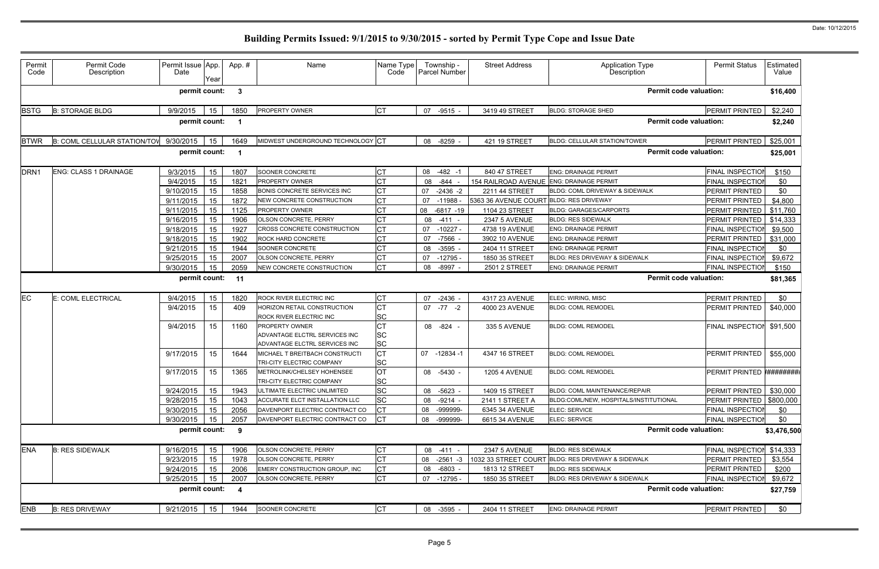| Permit<br>Code   | Permit Code<br>Description   | Permit Issue App.<br>Date | Year | App. # | Name                                                                                    | Name Type<br>Code                   | Township -<br>Parcel Number |              | <b>Street Address</b>                    | <b>Application Type</b><br>Description             | <b>Permit Status</b>    | Estimated<br>Value |
|------------------|------------------------------|---------------------------|------|--------|-----------------------------------------------------------------------------------------|-------------------------------------|-----------------------------|--------------|------------------------------------------|----------------------------------------------------|-------------------------|--------------------|
|                  |                              | permit count:             |      | 3      |                                                                                         |                                     |                             |              |                                          | <b>Permit code valuation:</b>                      |                         | \$16,400           |
| <b>BSTG</b>      | <b>B: STORAGE BLDG</b>       | 9/9/2015                  | 15   | 1850   | PROPERTY OWNER                                                                          | <b>CT</b>                           | 07                          | $-9515 -$    | 3419 49 STREET                           | <b>BLDG: STORAGE SHED</b>                          | PERMIT PRINTED          | \$2,240            |
|                  |                              | permit count:             |      |        |                                                                                         |                                     |                             |              |                                          | <b>Permit code valuation:</b>                      |                         | \$2,240            |
| <b>BTWR</b>      | B: COML CELLULAR STATION/TOV | 9/30/2015                 | 15   | 1649   | MIDWEST UNDERGROUND TECHNOLOGY CT                                                       |                                     | 08 -8259                    |              | 421 19 STREET                            | BLDG: CELLULAR STATION/TOWER                       | PERMIT PRINTED          | \$25,001           |
|                  |                              | permit count:             |      |        |                                                                                         |                                     |                             |              |                                          | <b>Permit code valuation:</b>                      |                         | \$25,001           |
| DRN <sub>1</sub> | <b>ENG: CLASS 1 DRAINAGE</b> | 9/3/2015                  | 15   | 1807   | SOONER CONCRETE                                                                         | <b>CT</b>                           | 08 -482 -1                  |              | 840 47 STREET                            | <b>ENG: DRAINAGE PERMIT</b>                        | <b>FINAL INSPECTION</b> | \$150              |
|                  |                              | 9/4/2015                  | 15   | 1821   | <b>PROPERTY OWNER</b>                                                                   | СT                                  | 08                          | -844         | 154 RAILROAD AVENUE ENG: DRAINAGE PERMIT |                                                    | FINAL INSPECTION        | \$0                |
|                  |                              | 9/10/2015                 | 15   | 1858   | BONIS CONCRETE SERVICES INC                                                             | <b>CT</b>                           | 07                          | $-2436 -2$   | 2211 44 STREET                           | BLDG: COML DRIVEWAY & SIDEWALK                     | PERMIT PRINTED          | \$0                |
|                  |                              | 9/11/2015                 | 15   | 1872   | NEW CONCRETE CONSTRUCTION                                                               |                                     | 07                          | $-11988$     | 5363 36 AVENUE COURT BLDG: RES DRIVEWAY  |                                                    | PERMIT PRINTED          | \$4,800            |
|                  |                              | 9/11/2015                 | 15   | 1125   | <b>PROPERTY OWNER</b>                                                                   | СT                                  | 08                          | $-6817 - 19$ | 1104 23 STREET                           | <b>BLDG: GARAGES/CARPORTS</b>                      | PERMIT PRINTED          | \$11,760           |
|                  |                              | 9/16/2015                 | 15   | 1906   | OLSON CONCRETE, PERRY                                                                   | СT                                  | 08                          | -411         | <b>2347 5 AVENUE</b>                     | <b>BLDG: RES SIDEWALK</b>                          | PERMIT PRINTED          | \$14,333           |
|                  |                              | 9/18/2015                 | 15   | 1927   | CROSS CONCRETE CONSTRUCTION                                                             | СT                                  | 07                          | $-10227 -$   | 4738 19 AVENUE                           | <b>ENG: DRAINAGE PERMIT</b>                        | FINAL INSPECTION        | \$9,500            |
|                  |                              | 9/18/2015                 | 15   | 1902   | <b>ROCK HARD CONCRETE</b>                                                               | <b>CT</b>                           | 07                          | -7566        | 3902 10 AVENUE                           | <b>ENG: DRAINAGE PERMIT</b>                        | PERMIT PRINTED          | \$31,000           |
|                  |                              | 9/21/2015                 | 15   | 1944   | SOONER CONCRETE                                                                         | СT                                  | 08 -3595                    |              | 2404 11 STREET                           | <b>ENG: DRAINAGE PERMIT</b>                        | FINAL INSPECTION        | \$0                |
|                  |                              | 9/25/2015                 | 15   | 2007   | OLSON CONCRETE, PERRY                                                                   | <b>CT</b>                           | 07                          | -12795 -     | 1850 35 STREET                           | <b>BLDG: RES DRIVEWAY &amp; SIDEWALK</b>           | FINAL INSPECTION        | \$9,672            |
|                  |                              | 9/30/2015                 | 15   | 2059   | NEW CONCRETE CONSTRUCTION                                                               | <b>CT</b>                           | 08 -8997                    |              | 2501 2 STREET                            | <b>ENG: DRAINAGE PERMIT</b>                        | FINAL INSPECTION        | \$150              |
|                  |                              | permit count: 11          |      |        |                                                                                         |                                     |                             |              |                                          | <b>Permit code valuation:</b>                      |                         | \$81,365           |
| <b>EC</b>        | E: COML ELECTRICAL           | 9/4/2015                  | 15   | 1820   | ROCK RIVER ELECTRIC INC                                                                 | СT                                  | 07                          | $-2436$      | 4317 23 AVENUE                           | ELEC: WIRING, MISC                                 | PERMIT PRINTED          | \$0                |
|                  |                              | 9/4/2015                  | 15   | 409    | HORIZON RETAIL CONSTRUCTION<br>ROCK RIVER ELECTRIC INC                                  | <b>CT</b><br><b>SC</b>              | $07 - 77 - 2$               |              | 4000 23 AVENUE                           | <b>BLDG: COML REMODEL</b>                          | PERMIT PRINTED          | \$40,000           |
|                  |                              | 9/4/2015                  | 15   | 1160   | <b>PROPERTY OWNER</b><br>ADVANTAGE ELCTRL SERVICES INC<br>ADVANTAGE ELCTRL SERVICES INC | <b>CT</b><br><b>SC</b><br><b>SC</b> | 08 - 824 -                  |              | 335 5 AVENUE                             | <b>BLDG: COML REMODEL</b>                          | <b>FINAL INSPECTION</b> | \$91,500           |
|                  |                              | 9/17/2015                 | 15   | 1644   | MICHAEL T BREITBACH CONSTRUCTI<br>TRI-CITY ELECTRIC COMPANY                             | <b>CT</b><br><b>SC</b>              | 07 -12834 -1                |              | 4347 16 STREET                           | <b>BLDG: COML REMODEL</b>                          | PERMIT PRINTED          | \$55,000           |
|                  |                              | 9/17/2015                 | 15   | 1365   | METROLINK/CHELSEY HOHENSEE<br>TRI-CITY ELECTRIC COMPANY                                 | OT<br><b>SC</b>                     | 08 -5430 -                  |              | <b>1205 4 AVENUE</b>                     | <b>BLDG: COML REMODEL</b>                          | PERMIT PRINTED          | <b>*########</b> # |
|                  |                              | 9/24/2015                 | 15   | 1943   | ULTIMATE ELECTRIC UNLIMITED                                                             | <b>SC</b>                           | 08 -5623                    |              | 1409 15 STREET                           | <b>BLDG: COML MAINTENANCE/REPAIR</b>               | PERMIT PRINTED          | \$30,000           |
|                  |                              | 9/28/2015                 | 15   | 1043   | ACCURATE ELCT INSTALLATION LLC                                                          | <b>SC</b>                           | 08 -9214 -                  |              | 2141 1 STREET A                          | BLDG:COML/NEW, HOSPITALS/INSTITUTIONAL             | <b>PERMIT PRINTED</b>   | \$800,000          |
|                  |                              | 9/30/2015                 | 15   | 2056   | DAVENPORT ELECTRIC CONTRACT CO                                                          | Iст                                 | 08                          | -999999-     | 6345 34 AVENUE                           | ELEC: SERVICE                                      | FINAL INSPECTION        | \$0                |
|                  |                              | 9/30/2015                 | 15   | 2057   | DAVENPORT ELECTRIC CONTRACT CO                                                          | <b>CT</b>                           | 08                          | -999999-     | 6615 34 AVENUE                           | ELEC: SERVICE                                      | <b>FINAL INSPECTION</b> | \$0                |
|                  |                              | permit count:             |      | $_{9}$ |                                                                                         |                                     |                             |              |                                          | <b>Permit code valuation:</b>                      |                         | \$3,476,500        |
| <b>ENA</b>       | <b>B: RES SIDEWALK</b>       | 9/16/2015                 | 15   | 1906   | OLSON CONCRETE, PERRY                                                                   | Iст                                 | 08 -411 -                   |              | <b>2347 5 AVENUE</b>                     | <b>BLDG: RES SIDEWALK</b>                          | <b>FINAL INSPECTION</b> | \$14,333           |
|                  |                              | 9/23/2015                 | 15   | 1978   | OLSON CONCRETE, PERRY                                                                   | <b>CT</b>                           | 08 -2561 -3                 |              |                                          | 1032 33 STREET COURT BLDG: RES DRIVEWAY & SIDEWALK | PERMIT PRINTED          | \$3,554            |
|                  |                              | 9/24/2015                 | 15   | 2006   | EMERY CONSTRUCTION GROUP, INC                                                           | Iст                                 | 08                          | -6803 -      | 1813 12 STREET                           | <b>BLDG: RES SIDEWALK</b>                          | PERMIT PRINTED          | \$200              |
|                  |                              | 9/25/2015                 | 15   | 2007   | <b>OLSON CONCRETE, PERRY</b>                                                            | <b>CT</b>                           | 07 -12795                   |              | 1850 35 STREET                           | <b>BLDG: RES DRIVEWAY &amp; SIDEWALK</b>           | <b>FINAL INSPECTION</b> | \$9,672            |
|                  |                              | permit count: 4           |      |        |                                                                                         |                                     |                             |              |                                          | <b>Permit code valuation:</b>                      |                         | \$27,759           |
| <b>ENB</b>       | <b>B: RES DRIVEWAY</b>       | 9/21/2015                 | 15   | 1944   | SOONER CONCRETE                                                                         | <b>CT</b>                           | 08 -3595 -                  |              | 2404 11 STREET                           | <b>ENG: DRAINAGE PERMIT</b>                        | <b>PERMIT PRINTED</b>   | \$0                |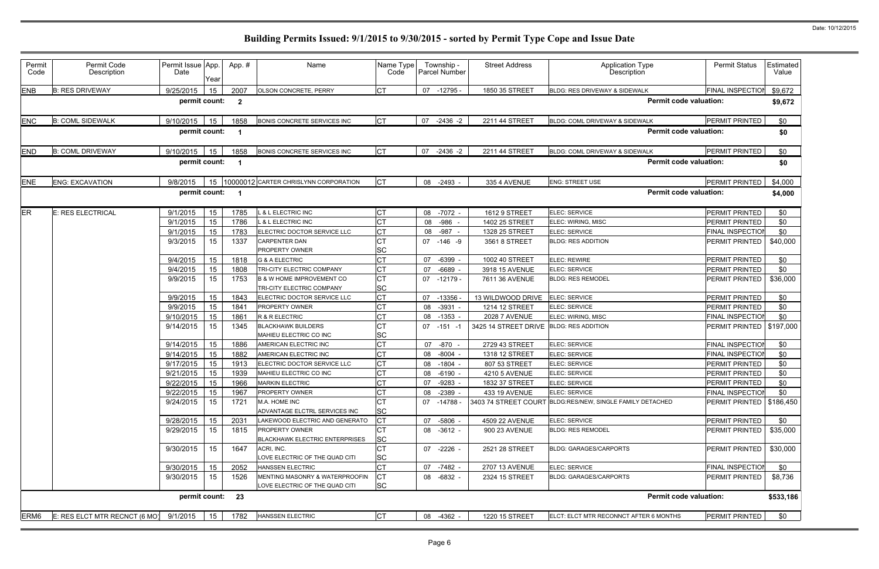| Permit<br>Code   | Permit Code<br>Description    | Permit Issue App.<br>Date | Year     | App.#          | Name                                                             | Name Type<br>Code      |          | Township -<br>Parcel Number | <b>Street Address</b>            | Application Type<br>Description                           | <b>Permit Status</b>       | Estimated<br>Value |
|------------------|-------------------------------|---------------------------|----------|----------------|------------------------------------------------------------------|------------------------|----------|-----------------------------|----------------------------------|-----------------------------------------------------------|----------------------------|--------------------|
| <b>ENB</b>       | <b>B: RES DRIVEWAY</b>        | 9/25/2015                 | 15       | 2007           | OLSON CONCRETE, PERRY                                            | <b>CT</b>              |          | 07 -12795 -                 | 1850 35 STREET                   | BLDG: RES DRIVEWAY & SIDEWALK                             | FINAL INSPECTION           | \$9,672            |
|                  |                               | permit count:             |          | $\overline{2}$ |                                                                  |                        |          |                             |                                  | <b>Permit code valuation:</b>                             |                            | \$9,672            |
| <b>ENC</b>       | <b>B: COML SIDEWALK</b>       | 9/10/2015                 | 15       | 1858           | BONIS CONCRETE SERVICES INC                                      | <b>CT</b>              | 07       | $-2436 -2$                  | 2211 44 STREET                   | BLDG: COML DRIVEWAY & SIDEWALK                            | PERMIT PRINTED             | \$0                |
|                  |                               | permit count:             |          |                |                                                                  |                        |          |                             |                                  | <b>Permit code valuation:</b>                             |                            | \$0                |
| <b>END</b>       | <b>B: COML DRIVEWAY</b>       | 9/10/2015                 | 15       | 1858           | <b>BONIS CONCRETE SERVICES INC</b>                               | <b>CT</b>              | 07       | $-2436 -2$                  | 2211 44 STREET                   | BLDG: COML DRIVEWAY & SIDEWALK                            | PERMIT PRINTED             | \$0                |
|                  |                               | permit count:             |          |                |                                                                  |                        |          |                             |                                  | <b>Permit code valuation:</b>                             |                            | \$0                |
| <b>ENE</b>       | <b>ENG: EXCAVATION</b>        | 9/8/2015                  | 15       |                | 10000012 CARTER CHRISLYNN CORPORATION                            | <b>CT</b>              | 08       | $-2493 -$                   | 335 4 AVENUE                     | <b>ENG: STREET USE</b>                                    | PERMIT PRINTED             | \$4,000            |
|                  |                               | permit count:             |          |                |                                                                  |                        |          |                             |                                  | <b>Permit code valuation:</b>                             |                            | \$4,000            |
| <b>ER</b>        | <b>E: RES ELECTRICAL</b>      | 9/1/2015                  | 15       | 1785           | & L ELECTRIC INC                                                 | <b>CT</b>              | 08       | -7072 -                     | 1612 9 STREET                    | ELEC: SERVICE                                             | PERMIT PRINTED             | \$0                |
|                  |                               | 9/1/2015                  | 15       | 1786           | <b>&amp; L ELECTRIC INC</b>                                      | <b>CT</b>              |          | 08 - 986 -                  | 1402 25 STREET                   | ELEC: WIRING, MISC                                        | PERMIT PRINTED             | \$0                |
|                  |                               | 9/1/2015                  | 15       | 1783           | ELECTRIC DOCTOR SERVICE LLC                                      | <b>CT</b>              |          | 08 - 987 -                  | 1328 25 STREET                   | ELEC: SERVICE                                             | FINAL INSPECTION           | \$0                |
|                  |                               | 9/3/2015                  | 15       | 1337           | <b>CARPENTER DAN</b>                                             | <b>CT</b>              |          | 07 -146 -9                  | 3561 8 STREET                    | <b>BLDG: RES ADDITION</b>                                 | PERMIT PRINTED             | \$40,000           |
|                  |                               |                           |          |                | PROPERTY OWNER                                                   | <b>SC</b><br><b>CT</b> |          |                             | 1002 40 STREET                   |                                                           | PERMIT PRINTED             | \$0                |
|                  |                               | 9/4/2015<br>9/4/2015      | 15       | 1818           | <b>G &amp; A ELECTRIC</b><br>TRI-CITY ELECTRIC COMPANY           | <b>CT</b>              | 07<br>07 | $-6399 -$<br>$-6689$        |                                  | <b>ELEC: REWIRE</b><br><b>ELEC: SERVICE</b>               | PERMIT PRINTED             | \$0                |
|                  |                               | 9/9/2015                  | 15<br>15 | 1808<br>1753   | <b>B &amp; W HOME IMPROVEMENT CO</b>                             | <b>CT</b>              |          | 07 -12179 -                 | 3918 15 AVENUE<br>7611 36 AVENUE | <b>BLDG: RES REMODEL</b>                                  | PERMIT PRINTED             | \$36,000           |
|                  |                               |                           |          |                | TRI-CITY ELECTRIC COMPANY                                        | <b>SC</b>              |          |                             |                                  |                                                           |                            |                    |
|                  |                               | 9/9/2015                  | 15       | 1843           | ELECTRIC DOCTOR SERVICE LLC                                      | <b>CT</b>              | 07       | $-13356$                    | 13 WILDWOOD DRIVE                | ELEC: SERVICE                                             | PERMIT PRINTED             | \$0                |
|                  |                               | 9/9/2015                  | 15       | 1841           | <b>PROPERTY OWNER</b>                                            | <b>CT</b>              | 08       | $-3931$ -                   | 1214 12 STREET                   | ELEC: SERVICE                                             | PERMIT PRINTED             | \$0                |
|                  |                               | 9/10/2015                 | 15       | 1861           | R & R ELECTRIC                                                   | <b>CT</b>              | 08       | $-1353 -$                   | <b>2028 7 AVENUE</b>             | ELEC: WIRING, MISC                                        | FINAL INSPECTION           | \$0                |
|                  |                               | 9/14/2015                 | 15       | 1345           | <b>BLACKHAWK BUILDERS</b>                                        | <b>CT</b>              |          | $07 - 151 - 1$              | 3425 14 STREET DRIVE             | <b>BLDG: RES ADDITION</b>                                 | PERMIT PRINTED             | \$197,000          |
|                  |                               |                           |          |                | MAHIEU ELECTRIC CO INC                                           | <b>SC</b>              |          |                             |                                  |                                                           |                            |                    |
|                  |                               | 9/14/2015                 | 15       | 1886           | AMERICAN ELECTRIC INC                                            | <b>CT</b>              | 07       | -870 -                      | 2729 43 STREET                   | ELEC: SERVICE                                             | FINAL INSPECTION           | \$0                |
|                  |                               | 9/14/2015                 | 15       | 1882           | AMERICAN ELECTRIC INC                                            | <b>CT</b>              | 08       | $-8004 -$                   | 1318 12 STREET                   | ELEC: SERVICE                                             | FINAL INSPECTION           | \$0                |
|                  |                               | 9/17/2015                 | 15       | 1913           | ELECTRIC DOCTOR SERVICE LLC                                      | <b>CT</b>              | 08       | -1804 -                     | 807 53 STREET                    | ELEC: SERVICE                                             | <b>PERMIT PRINTED</b>      | \$0                |
|                  |                               | 9/21/2015                 | 15       | 1939           | MAHIEU ELECTRIC CO INC                                           | <b>CT</b>              | 08       | $-6190 -$                   | 4210 5 AVENUE                    | ELEC: SERVICE                                             | PERMIT PRINTED             | \$0                |
|                  |                               | 9/22/2015                 | 15       | 1966           | <b>MARKIN ELECTRIC</b>                                           | <b>CT</b>              | 07       | -9283 -                     | 1832 37 STREET                   | <b>ELEC: SERVICE</b>                                      | PERMIT PRINTED             | \$0                |
|                  |                               | 9/22/2015                 | 15       | 1967           | <b>PROPERTY OWNER</b>                                            | <b>CT</b>              | 08       | $-2389$ -                   | 433 19 AVENUE                    | <b>ELEC: SERVICE</b>                                      | <b>FINAL INSPECTION</b>    | \$0                |
|                  |                               | 9/24/2015                 | 15       | 1721           | M.A. HOME INC<br>ADVANTAGE ELCTRL SERVICES INC                   | <b>CT</b><br><b>SC</b> |          | 07 -14788 -                 |                                  | 3403 74 STREET COURT BLDG:RES/NEW, SINGLE FAMILY DETACHED | PERMIT PRINTED   \$186,450 |                    |
|                  |                               | 9/28/2015                 | 15       | 2031           | LAKEWOOD ELECTRIC AND GENERATO                                   | <b>CT</b>              |          | 07 -5806 -                  | 4509 22 AVENUE                   | ELEC: SERVICE                                             | PERMIT PRINTED             | \$0                |
|                  |                               | 9/29/2015                 | 15       | 1815           | <b>PROPERTY OWNER</b><br><b>BLACKHAWK ELECTRIC ENTERPRISES</b>   | <b>CT</b><br><b>SC</b> |          | 08 -3612 -                  | 900 23 AVENUE                    | <b>BLDG: RES REMODEL</b>                                  | PERMIT PRINTED             | \$35,000           |
|                  |                               | 9/30/2015                 | 15       | 1647           | ACRI, INC.<br>LOVE ELECTRIC OF THE QUAD CITI                     | <b>CT</b><br><b>SC</b> |          | 07 -2226 -                  | 2521 28 STREET                   | <b>BLDG: GARAGES/CARPORTS</b>                             | PERMIT PRINTED             | \$30,000           |
|                  |                               | 9/30/2015                 | 15       | 2052           | HANSSEN ELECTRIC                                                 | <b>CT</b>              |          | 07 -7482 -                  | 2707 13 AVENUE                   | <b>ELEC: SERVICE</b>                                      | FINAL INSPECTION           | \$0                |
|                  |                               | 9/30/2015                 | 15       | 1526           | MENTING MASONRY & WATERPROOFIN<br>LOVE ELECTRIC OF THE QUAD CITI | <b>CT</b><br><b>SC</b> |          | 08 -6832 -                  | 2324 15 STREET                   | <b>BLDG: GARAGES/CARPORTS</b>                             | PERMIT PRINTED             | \$8,736            |
|                  |                               | permit count:             |          | 23             |                                                                  |                        |          |                             |                                  | <b>Permit code valuation:</b>                             |                            | \$533,186          |
| ERM <sub>6</sub> | E: RES ELCT MTR RECNCT (6 MO) | 9/1/2015                  | 15       | 1782           | <b>HANSSEN ELECTRIC</b>                                          | <b>CT</b>              |          | 08 -4362 -                  | 1220 15 STREET                   | ELCT: ELCT MTR RECONNCT AFTER 6 MONTHS                    | PERMIT PRINTED             | \$0                |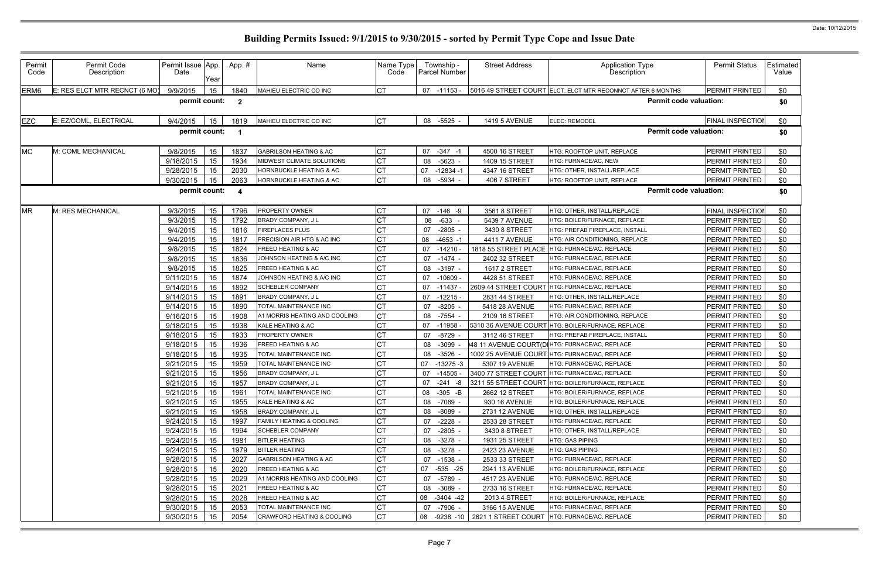| Permit<br>Code   | Permit Code<br>Description    | Permit Issue App.<br>Date | Year | App.#                   | Name                              | Name Type<br>Code |           | Township -<br>Parcel Number | <b>Street Address</b> | Application Type<br>Description                             | <b>Permit Status</b>    | Estimated<br>Value |
|------------------|-------------------------------|---------------------------|------|-------------------------|-----------------------------------|-------------------|-----------|-----------------------------|-----------------------|-------------------------------------------------------------|-------------------------|--------------------|
| ERM <sub>6</sub> | E: RES ELCT MTR RECNCT (6 MO) | 9/9/2015                  | 15   | 1840                    | MAHIEU ELECTRIC CO INC            | <b>CT</b>         |           | 07 -11153 -                 |                       | 5016 49 STREET COURT ELCT: ELCT MTR RECONNCT AFTER 6 MONTHS | PERMIT PRINTED          | \$0                |
|                  |                               | permit count:             |      | $\mathbf{2}$            |                                   |                   |           |                             |                       | <b>Permit code valuation:</b>                               |                         | \$0                |
| <b>EZC</b>       | E: EZ/COML, ELECTRICAL        | 9/4/2015                  | 15   | 1819                    | MAHIEU ELECTRIC CO INC            | <b>CT</b>         | 08        | -5525 -                     | <b>1419 5 AVENUE</b>  | <b>ELEC: REMODEL</b>                                        | <b>FINAL INSPECTION</b> | \$0                |
|                  |                               | permit count:             |      |                         |                                   |                   |           |                             |                       | <b>Permit code valuation:</b>                               |                         | \$0                |
| <b>MC</b>        | M: COML MECHANICAL            | 9/8/2015                  | 15   | 1837                    | <b>GABRILSON HEATING &amp; AC</b> | <b>CT</b>         | 07        | $-347 - 1$                  | 4500 16 STREET        | HTG: ROOFTOP UNIT, REPLACE                                  | <b>PERMIT PRINTED</b>   | \$0                |
|                  |                               | 9/18/2015                 | 15   | 1934                    | MIDWEST CLIMATE SOLUTIONS         | <b>CT</b>         | 08        | $-5623 -$                   | 1409 15 STREET        | <b>ITG: FURNACE/AC, NEW</b>                                 | PERMIT PRINTED          | \$0                |
|                  |                               | 9/28/2015                 | 15   | 2030                    | HORNBUCKLE HEATING & AC           | <b>CT</b>         | 07        | $-12834 - 1$                | 4347 16 STREET        | <b>HTG: OTHER, INSTALL/REPLACE</b>                          | PERMIT PRINTED          | \$0                |
|                  |                               | 9/30/2015                 | 15   | 2063                    | HORNBUCKLE HEATING & AC           | <b>CT</b>         | 08        | $-5934 -$                   | 406 7 STREET          | HTG: ROOFTOP UNIT, REPLACE                                  | PERMIT PRINTED          | \$0                |
|                  |                               | permit count:             |      | $\overline{\mathbf{4}}$ |                                   |                   |           |                             |                       | <b>Permit code valuation:</b>                               |                         | \$0                |
| <b>MR</b>        | M: RES MECHANICAL             | 9/3/2015                  | 15   | 1796                    | PROPERTY OWNER                    | <b>CT</b>         |           | 07 -146 -9                  | 3561 8 STREET         | HTG: OTHER, INSTALL/REPLACE                                 | FINAL INSPECTION        | \$0                |
|                  |                               | 9/3/2015                  | 15   | 1792                    | BRADY COMPANY, J L                | <b>CT</b>         | 08        | $-633 -$                    | 5439 7 AVENUE         | HTG: BOILER/FURNACE, REPLACE                                | PERMIT PRINTED          | \$0                |
|                  |                               | 9/4/2015                  | 15   | 1816                    | <b>FIREPLACES PLUS</b>            | <b>CT</b>         | 07        | $-2805 -$                   | 3430 8 STREET         | HTG: PREFAB FIREPLACE, INSTALL                              | PERMIT PRINTED          | \$0                |
|                  |                               | 9/4/2015                  | 15   | 1817                    | PRECISION AIR HTG & AC INC        | <b>CT</b>         |           | 08 -4653 -1                 | 4411 7 AVENUE         | HTG: AIR CONDITIONING, REPLACE                              | PERMIT PRINTED          | \$0                |
|                  |                               | 9/8/2015                  | 15   | 1824                    | <b>FREED HEATING &amp; AC</b>     | <b>CT</b>         | 07        | $-14210$                    | 1818 55 STREET PLACE  | HTG: FURNACE/AC, REPLACE                                    | PERMIT PRINTED          | \$0                |
|                  |                               | 9/8/2015                  | 15   | 1836                    | JOHNSON HEATING & A/C INC         | СT                | 07        | -1474 -                     | 2402 32 STREET        | HTG: FURNACE/AC, REPLACE                                    | PERMIT PRINTED          | \$0                |
|                  |                               | 9/8/2015                  | 15   | 1825                    | <b>FREED HEATING &amp; AC</b>     | <b>CT</b>         | 08        | $-3197 -$                   | 1617 2 STREET         | <b>HTG: FURNACE/AC, REPLACE</b>                             | PERMIT PRINTED          | \$0                |
|                  |                               | 9/11/2015                 | 15   | 1874                    | JOHNSON HEATING & A/C INC         | <b>CT</b>         | 07        | $-10609 -$                  | 4428 51 STREET        | HTG: FURNACE/AC, REPLACE                                    | PERMIT PRINTED          | \$0                |
|                  |                               | 9/14/2015                 | 15   | 1892                    | <b>SCHEBLER COMPANY</b>           | <b>CT</b>         | 07 -11437 |                             | 2609 44 STREET COURT  | HTG: FURNACE/AC, REPLACE                                    | PERMIT PRINTED          | \$0                |
|                  |                               | 9/14/2015                 | 15   | 1891                    | BRADY COMPANY, J L                | <b>CT</b>         | 07        | $-12215 -$                  | 2831 44 STREET        | HTG: OTHER, INSTALL/REPLACE                                 | PERMIT PRINTED          | \$0                |
|                  |                               | 9/14/2015                 | 15   | 1890                    | TOTAL MAINTENANCE INC             | <b>CT</b>         | 07        | $-8205$                     | 5418 28 AVENUE        | HTG: FURNACE/AC, REPLACE                                    | PERMIT PRINTED          | \$0                |
|                  |                               | 9/16/2015                 | 15   | 1908                    | A1 MORRIS HEATING AND COOLING     | <b>CT</b>         | 08        | -7554 -                     | 2109 16 STREET        | HTG: AIR CONDITIONING, REPLACE                              | PERMIT PRINTED          | \$0                |
|                  |                               | 9/18/2015                 | 15   | 1938                    | KALE HEATING & AC                 | <b>CT</b>         | 07        | $-11958$                    | 5310 36 AVENUE COURT  | HTG: BOILER/FURNACE, REPLACE                                | PERMIT PRINTED          | \$0                |
|                  |                               | 9/18/2015                 | 15   | 1933                    | PROPERTY OWNER                    | <b>CT</b>         | 07        | $-8729$                     | 3112 46 STREET        | HTG: PREFAB FIREPLACE, INSTALL                              | PERMIT PRINTED          | \$0                |
|                  |                               | 9/18/2015                 | 15   | 1936                    | <b>FREED HEATING &amp; AC</b>     | <b>CT</b>         | 08        | -3099                       |                       | 48 11 AVENUE COURT(DIHTG: FURNACE/AC, REPLACE               | PERMIT PRINTED          | \$0                |
|                  |                               | 9/18/2015                 | 15   | 1935                    | TOTAL MAINTENANCE INC             | <b>CT</b>         | 08        | $-3526$                     |                       | 1002 25 AVENUE COURT HTG: FURNACE/AC, REPLACE               | PERMIT PRINTED          | \$0                |
|                  |                               | 9/21/2015                 | 15   | 1959                    | TOTAL MAINTENANCE INC             | <b>CT</b>         | 07        | $-13275-3$                  | 5307 19 AVENUE        | <b>HTG: FURNACE/AC, REPLACE</b>                             | <b>PERMIT PRINTED</b>   | \$0                |
|                  |                               | 9/21/2015                 | 15   | 1956                    | BRADY COMPANY, J L                | <b>CT</b>         | 07        | $-14505 -$                  |                       | 3400 77 STREET COURT HTG: FURNACE/AC, REPLACE               | PERMIT PRINTED          | \$0                |
|                  |                               | 9/21/2015                 | 15   | 1957                    | <b>BRADY COMPANY, JL</b>          | <b>CT</b>         |           | $07 -241 -8$                |                       | 3211 55 STREET COURT HTG: BOILER/FURNACE, REPLACE           | <b>PERMIT PRINTED</b>   | \$0                |
|                  |                               | 9/21/2015                 | 15   | 1961                    | TOTAL MAINTENANCE INC             | <b>CT</b>         |           | 08 -305 -B                  | 2662 12 STREET        | HTG: BOILER/FURNACE, REPLACE                                | PERMIT PRINTED          | \$0                |
|                  |                               | 9/21/2015                 | 15   | 1955                    | KALE HEATING & AC                 | <b>CT</b>         |           | 08 -7069 -                  | 930 16 AVENUE         | HTG: BOILER/FURNACE, REPLACE                                | PERMIT PRINTED          | \$0                |
|                  |                               | 9/21/2015                 | 15   | 1958                    | BRADY COMPANY, J L                | <b>CT</b>         |           | 08 -8089 -                  | 2731 12 AVENUE        | HTG: OTHER, INSTALL/REPLACE                                 | PERMIT PRINTED          | \$0                |
|                  |                               | 9/24/2015                 | 15   | 1997                    | FAMILY HEATING & COOLING          | <b>CT</b>         | 07        | $-2228 -$                   | 2533 28 STREET        | HTG: FURNACE/AC, REPLACE                                    | PERMIT PRINTED          | \$0                |
|                  |                               | 9/24/2015                 | 15   | 1994                    | <b>SCHEBLER COMPANY</b>           | <b>CT</b>         | 07        | -2805 -                     | 3430 8 STREET         | HTG: OTHER, INSTALL/REPLACE                                 | PERMIT PRINTED          | \$0                |
|                  |                               | 9/24/2015                 | 15   | 1981                    | <b>BITLER HEATING</b>             | <b>CT</b>         | 08        | -3278 -                     | 1931 25 STREET        | HTG: GAS PIPING                                             | PERMIT PRINTED          | \$0                |
|                  |                               | 9/24/2015                 | 15   | 1979                    | <b>BITLER HEATING</b>             | <b>CT</b>         | 08        | $-3278 -$                   | 2423 23 AVENUE        | <b>HTG: GAS PIPING</b>                                      | PERMIT PRINTED          | \$0                |
|                  |                               | 9/28/2015                 | 15   | 2027                    | <b>GABRILSON HEATING &amp; AC</b> | <b>CT</b>         |           | 07 -1538 -                  | 2533 33 STREET        | HTG: FURNACE/AC. REPLACE                                    | PERMIT PRINTED          | \$0                |
|                  |                               | 9/28/2015                 | 15   | 2020                    | <b>FREED HEATING &amp; AC</b>     | <b>CT</b>         | 07        | -535 -25                    | 2941 13 AVENUE        | HTG: BOILER/FURNACE, REPLACE                                | PERMIT PRINTED          | \$0                |
|                  |                               | 9/28/2015                 | 15   | 2029                    | A1 MORRIS HEATING AND COOLING     | <b>CT</b>         | 07        | -5789 -                     | 4517 23 AVENUE        | HTG: FURNACE/AC, REPLACE                                    | PERMIT PRINTED          | \$0                |
|                  |                               | 9/28/2015                 | 15   | 2021                    | <b>FREED HEATING &amp; AC</b>     | <b>CT</b>         | 08        | $-3089 -$                   | 2733 16 STREET        | HTG: FURNACE/AC, REPLACE                                    | PERMIT PRINTED          | \$0                |
|                  |                               | 9/28/2015                 | 15   | 2028                    | <b>FREED HEATING &amp; AC</b>     | <b>CT</b>         |           | 08 -3404 -42                | 2013 4 STREET         | HTG: BOILER/FURNACE, REPLACE                                | PERMIT PRINTED          | \$0                |
|                  |                               | 9/30/2015                 | 15   | 2053                    | TOTAL MAINTENANCE INC             | <b>CT</b>         | 07        | -7906 -                     | 3166 15 AVENUE        | HTG: FURNACE/AC, REPLACE                                    | PERMIT PRINTED          | \$0                |
|                  |                               | 9/30/2015                 | 15   | 2054                    | CRAWFORD HEATING & COOLING        | <b>CT</b>         | 08        |                             |                       | -9238 -10   2621 1 STREET COURT   HTG: FURNACE/AC, REPLACE  | PERMIT PRINTED          | \$0                |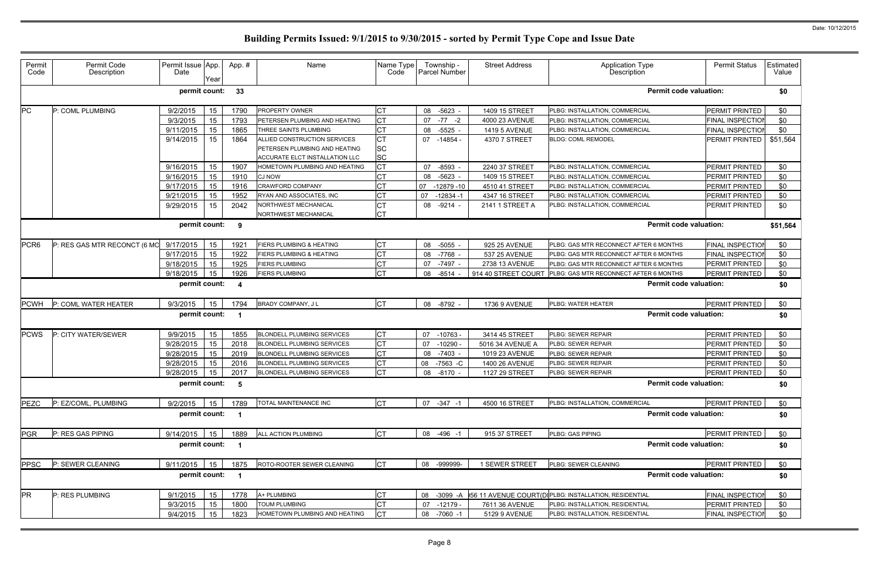| Permit<br>Code   | Permit Code<br>Description   | Permit Issue App.<br>Date | Year | App.# | Name                                | Name Type<br>Code |    | Township -<br><b>Parcel Number</b> | <b>Street Address</b> | <b>Application Type</b><br>Description                | <b>Permit Status</b>    | Estimated<br>Value |
|------------------|------------------------------|---------------------------|------|-------|-------------------------------------|-------------------|----|------------------------------------|-----------------------|-------------------------------------------------------|-------------------------|--------------------|
|                  |                              | permit count:             |      | 33    |                                     |                   |    |                                    |                       | <b>Permit code valuation:</b>                         |                         | \$0                |
| PC               | P: COML PLUMBING             | 9/2/2015                  | 15   | 1790  | PROPERTY OWNER                      | <b>CT</b>         | 08 | $-5623 -$                          | 1409 15 STREET        | PLBG: INSTALLATION, COMMERCIAL                        | PERMIT PRINTED          | \$0                |
|                  |                              | 9/3/2015                  | 15   | 1793  | PETERSEN PLUMBING AND HEATING       | <b>CT</b>         | 07 | $-77 - 2$                          | 4000 23 AVENUE        | PLBG: INSTALLATION, COMMERCIAL                        | FINAL INSPECTION        | \$0                |
|                  |                              | 9/11/2015                 | 15   | 1865  | THREE SAINTS PLUMBING               | <b>CT</b>         | 08 | $-5525 -$                          | <b>1419 5 AVENUE</b>  | PLBG: INSTALLATION, COMMERCIAL                        | <b>FINAL INSPECTION</b> | \$0                |
|                  |                              | 9/14/2015                 | 15   | 1864  | ALLIED CONSTRUCTION SERVICES        | <b>CT</b>         |    | 07 -14854 -                        | 4370 7 STREET         | <b>BLDG: COML REMODEL</b>                             | PERMIT PRINTED          | \$51,564           |
|                  |                              |                           |      |       | PETERSEN PLUMBING AND HEATING       | <b>SC</b>         |    |                                    |                       |                                                       |                         |                    |
|                  |                              |                           |      |       | ACCURATE ELCT INSTALLATION LLC      | <b>SC</b>         |    |                                    |                       |                                                       |                         |                    |
|                  |                              | 9/16/2015                 | 15   | 1907  | HOMETOWN PLUMBING AND HEATING       | <b>CT</b>         | 07 | -8593                              | 2240 37 STREET        | PLBG: INSTALLATION, COMMERCIAL                        | PERMIT PRINTED          | \$0                |
|                  |                              | 9/16/2015                 | 15   | 1910  | <b>CJ NOW</b>                       | <b>CT</b>         | 08 | $-5623$ -                          | 1409 15 STREET        | PLBG: INSTALLATION, COMMERCIAL                        | PERMIT PRINTED          | \$0                |
|                  |                              | 9/17/2015                 | 15   | 1916  | <b>CRAWFORD COMPANY</b>             | <b>CT</b>         | 07 | $-12879 - 10$                      | 4510 41 STREET        | PLBG: INSTALLATION, COMMERCIAL                        | PERMIT PRINTED          | \$0                |
|                  |                              | 9/21/2015                 | 15   | 1952  | RYAN AND ASSOCIATES, INC            | <b>CT</b>         | 07 | $-12834 - 1$                       | 4347 16 STREET        | PLBG: INSTALLATION, COMMERCIAL                        | PERMIT PRINTED          | \$0                |
|                  |                              | 9/29/2015                 | 15   | 2042  | NORTHWEST MECHANICAL                | <b>CT</b>         | 08 | $-9214 -$                          | 2141 1 STREET A       | PLBG: INSTALLATION, COMMERCIAL                        | PERMIT PRINTED          | \$0                |
|                  |                              |                           |      |       | NORTHWEST MECHANICAL                | <b>CT</b>         |    |                                    |                       |                                                       |                         |                    |
|                  |                              | permit count:             |      | 9     |                                     |                   |    |                                    |                       | <b>Permit code valuation:</b>                         |                         | \$51,564           |
| PCR <sub>6</sub> | P: RES GAS MTR RECONCT (6 MO | 9/17/2015                 | 15   | 1921  | FIERS PLUMBING & HEATING            | <b>CT</b>         | 08 | -5055                              | 925 25 AVENUE         | PLBG: GAS MTR RECONNECT AFTER 6 MONTHS                | <b>FINAL INSPECTION</b> | \$0                |
|                  |                              | 9/17/2015                 | 15   | 1922  | <b>FIERS PLUMBING &amp; HEATING</b> | <b>CT</b>         | 08 | -7768                              | 537 25 AVENUE         | PLBG: GAS MTR RECONNECT AFTER 6 MONTHS                | FINAL INSPECTION        | \$0                |
|                  |                              | 9/18/2015                 | 15   | 1925  | <b>FIERS PLUMBING</b>               | СT                | 07 | -7497 -                            | 2738 13 AVENUE        | PLBG: GAS MTR RECONNECT AFTER 6 MONTHS                | PERMIT PRINTED          | \$0                |
|                  |                              | 9/18/2015                 | 15   | 1926  | <b>FIERS PLUMBING</b>               | <b>CT</b>         | 08 | $-8514 -$                          | 914 40 STREET COURT   | PLBG: GAS MTR RECONNECT AFTER 6 MONTHS                | PERMIT PRINTED          | \$0                |
|                  |                              | permit count:             |      | 4     |                                     |                   |    |                                    |                       | <b>Permit code valuation:</b>                         | \$0                     |                    |
| <b>PCWH</b>      | P: COML WATER HEATER         | 9/3/2015                  | 15   | 1794  | BRADY COMPANY, J L                  | <b>CT</b>         | 08 | -8792 -                            | <b>1736 9 AVENUE</b>  | PLBG: WATER HEATER                                    | PERMIT PRINTED          | \$0                |
|                  |                              | permit count:             |      |       |                                     |                   |    |                                    |                       | <b>Permit code valuation:</b>                         |                         | \$0                |
| <b>PCWS</b>      | P: CITY WATER/SEWER          | 9/9/2015                  | 15   | 1855  | <b>BLONDELL PLUMBING SERVICES</b>   | <b>CT</b>         |    | 07 -10763 -                        | 3414 45 STREET        | PLBG: SEWER REPAIR                                    | PERMIT PRINTED          | \$0                |
|                  |                              | 9/28/2015                 | 15   | 2018  | <b>BLONDELL PLUMBING SERVICES</b>   | <b>CT</b>         | 07 | -10290                             | 5016 34 AVENUE A      | PLBG: SEWER REPAIR                                    | PERMIT PRINTED          | \$0                |
|                  |                              | 9/28/2015                 | 15   | 2019  | <b>BLONDELL PLUMBING SERVICES</b>   | <b>CT</b>         | 08 | $-7403 -$                          | 1019 23 AVENUE        | PLBG: SEWER REPAIR                                    | PERMIT PRINTED          | \$0                |
|                  |                              | 9/28/2015                 | 15   | 2016  | <b>BLONDELL PLUMBING SERVICES</b>   | <b>CT</b>         | 08 | -7563 -C                           | 1400 26 AVENUE        | PLBG: SEWER REPAIR                                    | <b>PERMIT PRINTED</b>   | \$0                |
|                  |                              | 9/28/2015                 | 15   | 2017  | <b>BLONDELL PLUMBING SERVICES</b>   | <b>CT</b>         | 08 | $-8170 -$                          | 1127 29 STREET        | PLBG: SEWER REPAIR                                    | PERMIT PRINTED          | \$0                |
|                  |                              | permit count:             |      | -5    |                                     |                   |    |                                    |                       | <b>Permit code valuation:</b>                         |                         | \$0                |
| <b>PEZC</b>      | P: EZ/COML, PLUMBING         | 9/2/2015                  | 15   | 1789  | TOTAL MAINTENANCE INC               | <b>CT</b>         |    | 07 - 347 - 1                       | 4500 16 STREET        | PLBG: INSTALLATION, COMMERCIAL                        | PERMIT PRINTED          | \$0                |
|                  |                              | permit count:             |      |       |                                     |                   |    |                                    |                       | <b>Permit code valuation:</b>                         |                         | \$0                |
| <b>PGR</b>       | P: RES GAS PIPING            | 9/14/2015                 | 15   | 1889  | ALL ACTION PLUMBING                 | <b>CT</b>         |    | 08 -496 -1                         | 915 37 STREET         | PLBG: GAS PIPING                                      | PERMIT PRINTED          | \$0                |
|                  |                              | permit count:             |      |       |                                     |                   |    |                                    |                       | <b>Permit code valuation:</b>                         |                         | \$0                |
| <b>PPSC</b>      | P: SEWER CLEANING            | 9/11/2015                 | 15   | 1875  | ROTO-ROOTER SEWER CLEANING          | <b>CT</b>         | 08 | -999999-                           | 1 SEWER STREET        | PLBG: SEWER CLEANING                                  | PERMIT PRINTED          | \$0                |
|                  |                              | permit count:             |      |       |                                     |                   |    |                                    |                       | <b>Permit code valuation:</b>                         |                         | \$0                |
| <b>PR</b>        | P: RES PLUMBING              | 9/1/2015                  | 15   | 1778  | A+ PLUMBING                         | <b>CT</b>         | 08 | -3099 -A                           |                       | 356 11 AVENUE COURT(DIPLBG: INSTALLATION, RESIDENTIAL | <b>FINAL INSPECTION</b> | \$0                |
|                  |                              | 9/3/2015                  | 15   | 1800  | TOUM PLUMBING                       | СT                | 07 | $-12179-$                          | 7611 36 AVENUE        | PLBG: INSTALLATION, RESIDENTIAL                       | PERMIT PRINTED          | \$0                |
|                  |                              | 9/4/2015                  | 15   | 1823  | HOMETOWN PLUMBING AND HEATING       | <b>CT</b>         | 08 | -7060 -1                           | 5129 9 AVENUE         | PLBG: INSTALLATION, RESIDENTIAL                       | <b>FINAL INSPECTION</b> | \$0                |
|                  |                              |                           |      |       |                                     |                   |    |                                    |                       |                                                       |                         |                    |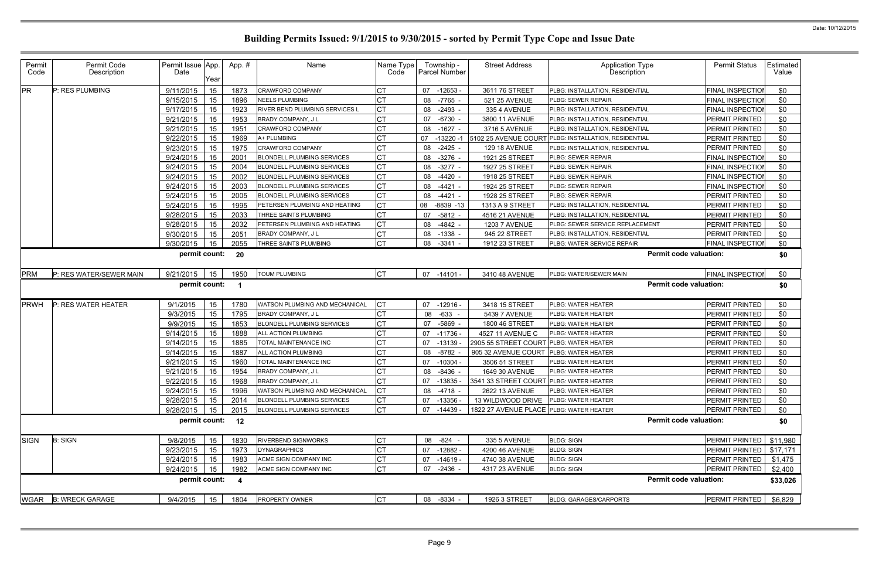| Permit<br>Code | Permit Code<br>Description | Permit Issue App<br>Date<br>Year | App. # | Name                                  | Name Type<br>Code | Township -<br><b>Parcel Number</b> | <b>Street Address</b>                   | <b>Application Type</b><br>Description               | <b>Permit Status</b>    | Estimated<br>Value |
|----------------|----------------------------|----------------------------------|--------|---------------------------------------|-------------------|------------------------------------|-----------------------------------------|------------------------------------------------------|-------------------------|--------------------|
| <b>PR</b>      | P: RES PLUMBING            | 15<br>9/11/2015                  | 1873   | <b>CRAWFORD COMPANY</b>               | СT                | 07 -12653                          | 3611 76 STREET                          | <b>PLBG: INSTALLATION, RESIDENTIAL</b>               | <b>FINAL INSPECTION</b> | \$0                |
|                |                            | 15<br>9/15/2015                  | 1896   | <b>NEELS PLUMBING</b>                 | СT                | -7765<br>08                        | 521 25 AVENUE                           | PLBG: SEWER REPAIR                                   | <b>FINAL INSPECTION</b> | \$0                |
|                |                            | 15<br>9/17/2015                  | 1923   | <b>RIVER BEND PLUMBING SERVICES L</b> | <b>CT</b>         | 08 -2493 -                         | 335 4 AVENUE                            | PLBG: INSTALLATION. RESIDENTIAL                      | FINAL INSPECTION        | \$0                |
|                |                            | 15<br>9/21/2015                  | 1953   | BRADY COMPANY, J L                    | <b>CT</b>         | $-6730$<br>07                      | 3800 11 AVENUE                          | PLBG: INSTALLATION, RESIDENTIAL                      | PERMIT PRINTED          | \$0                |
|                |                            | 15<br>9/21/2015                  | 1951   | CRAWFORD COMPANY                      | <b>CT</b>         | 08<br>-1627 -                      | 3716 5 AVENUE                           | PLBG: INSTALLATION, RESIDENTIAL                      | <b>PERMIT PRINTED</b>   | \$0                |
|                |                            | 9/22/2015<br>15                  | 1969   | A+ PLUMBING                           | <b>CT</b>         | $-13220$<br>07                     |                                         | 5102 25 AVENUE COURT PLBG: INSTALLATION, RESIDENTIAL | PERMIT PRINTED          | \$0                |
|                |                            | 15<br>9/23/2015                  | 1975   | CRAWFORD COMPANY                      | <b>CT</b>         | $-2425 -$<br>08                    | <b>129 18 AVENUE</b>                    | PLBG: INSTALLATION, RESIDENTIAL                      | <b>PERMIT PRINTED</b>   | \$0                |
|                |                            | 9/24/2015<br>15                  | 2001   | <b>BLONDELL PLUMBING SERVICES</b>     | <b>CT</b>         | 08 -3276 -                         | 1921 25 STREET                          | PLBG: SEWER REPAIR                                   | <b>FINAL INSPECTION</b> | \$0                |
|                |                            | 9/24/2015<br>15                  | 2004   | <b>BLONDELL PLUMBING SERVICES</b>     | Iст               | $-3277 -$<br>08                    | 1927 25 STREET                          | PLBG: SEWER REPAIR                                   | <b>FINAL INSPECTION</b> | \$0                |
|                |                            | 9/24/2015<br>15                  | 2002   | <b>BLONDELL PLUMBING SERVICES</b>     | <b>CT</b>         | 08<br>-4420                        | 1918 25 STREET                          | PLBG: SEWER REPAIR                                   | <b>FINAL INSPECTION</b> | \$0                |
|                |                            | 15<br>9/24/2015                  | 2003   | <b>BLONDELL PLUMBING SERVICES</b>     | СT                | $-4421$<br>08                      | 1924 25 STREET                          | PLBG: SEWER REPAIR                                   | FINAL INSPECTION        | \$0                |
|                |                            | 15<br>9/24/2015                  | 2005   | <b>BLONDELL PLUMBING SERVICES</b>     | Iст               | 08 -4421 -                         | 1928 25 STREET                          | PLBG: SEWER REPAIR                                   | <b>PERMIT PRINTED</b>   | \$0                |
|                |                            | 9/24/2015<br>15                  | 1995   | PETERSEN PLUMBING AND HEATING         | <b>CT</b>         | $-8839 - 13$<br>08                 | 1313 A 9 STREET                         | <b>PLBG: INSTALLATION, RESIDENTIAL</b>               | PERMIT PRINTED          | \$0                |
|                |                            | 15<br>9/28/2015                  | 2033   | THREE SAINTS PLUMBING                 | <b>CT</b>         | $-5812 -$<br>07                    | 4516 21 AVENUE                          | PLBG: INSTALLATION, RESIDENTIAL                      | PERMIT PRINTED          | \$0                |
|                |                            | 15<br>9/28/2015                  | 2032   | PETERSEN PLUMBING AND HEATING         | <b>CT</b>         | $-4842 -$<br>08                    | <b>1203 7 AVENUE</b>                    | PLBG: SEWER SERVICE REPLACEMENT                      | PERMIT PRINTED          | \$0                |
|                |                            | 15<br>9/30/2015                  | 2051   | BRADY COMPANY, J L                    | IСТ               | $-1338 -$<br>08                    | 945 22 STREET                           | PLBG: INSTALLATION, RESIDENTIAL                      | <b>PERMIT PRINTED</b>   | \$0                |
|                |                            | 15<br>9/30/2015                  | 2055   | THREE SAINTS PLUMBING                 | <b>CT</b>         | 08 -3341 -                         | 1912 23 STREET                          | PLBG: WATER SERVICE REPAIR                           | <b>FINAL INSPECTION</b> | \$0                |
|                |                            | permit count:                    | 20     |                                       |                   |                                    |                                         | <b>Permit code valuation:</b>                        |                         | \$0                |
| PRM            | P: RES WATER/SEWER MAIN    | 9/21/2015<br>15                  | 1950   | <b>TOUM PLUMBING</b>                  | <b>CT</b>         | 07 -14101 -                        | 3410 48 AVENUE                          | PLBG: WATER/SEWER MAIN                               | <b>FINAL INSPECTION</b> | \$0                |
|                |                            | permit count:                    |        |                                       |                   |                                    |                                         | <b>Permit code valuation:</b>                        |                         | \$0                |
| <b>PRWH</b>    | P: RES WATER HEATER        | 9/1/2015<br>15                   | 1780   | WATSON PLUMBING AND MECHANICAL        | <b>CT</b>         | $07 - 12916$                       | 3418 15 STREET                          | PLBG: WATER HEATER                                   | <b>PERMIT PRINTED</b>   | \$0                |
|                |                            | 15<br>9/3/2015                   | 1795   | BRADY COMPANY, J L                    | <b>CT</b>         | 08<br>-633                         | 5439 7 AVENUE                           | PLBG: WATER HEATER                                   | <b>PERMIT PRINTED</b>   | \$0                |
|                |                            | 9/9/2015<br>15                   | 1853   | <b>BLONDELL PLUMBING SERVICES</b>     | СT                | 07<br>-5869                        | 1800 46 STREET                          | PLBG: WATER HEATER                                   | PERMIT PRINTED          | \$0                |
|                |                            | 15<br>9/14/2015                  | 1888   | ALL ACTION PLUMBING                   | <b>CT</b>         | 07<br>-11736                       | 4527 11 AVENUE C                        | PLBG: WATER HEATER                                   | <b>PERMIT PRINTED</b>   | \$0                |
|                |                            | 9/14/2015<br>15                  | 1885   | TOTAL MAINTENANCE INC                 | СT                | 07<br>$-13139$                     | 2905 55 STREET COURT                    | PLBG: WATER HEATER                                   | PERMIT PRINTED          | \$0                |
|                |                            | 9/14/2015<br>15                  | 1887   | ALL ACTION PLUMBING                   | <b>CT</b>         | -8782<br>08                        | 905 32 AVENUE COURT                     | <b>PLBG: WATER HEATER</b>                            | <b>PERMIT PRINTED</b>   | \$0                |
|                |                            | 15<br>9/21/2015                  | 1960   | TOTAL MAINTENANCE INC                 | СT                | $-10304$<br>07                     | 3506 51 STREET                          | <b>PLBG: WATER HEATER</b>                            | PERMIT PRINTED          | \$0                |
|                |                            | 15<br>9/21/2015                  | 1954   | BRADY COMPANY, J L                    | СT                | -8436<br>08                        | 1649 30 AVENUE                          | PLBG: WATER HEATER                                   | PERMIT PRINTED          | \$0                |
|                |                            | $9/22/2015$ 15                   | 1968   | BRADY COMPANY, J L                    | IСT               | 07 -13835 -                        | 3541 33 STREET COURT PLBG: WATER HEATER |                                                      | PERMIT PRINTED          | \$0                |
|                |                            | 9/24/2015<br>15                  | 1996   | WATSON PLUMBING AND MECHANICAL        | Iст               | 08 -4718 -                         | 2622 13 AVENUE                          | PLBG: WATER HEATER                                   | <b>PERMIT PRINTED</b>   | \$0                |
|                |                            | 15<br>9/28/2015                  | 2014   | BLONDELL PLUMBING SERVICES            | <b>CT</b>         | 07 -13356                          | 13 WILDWOOD DRIVE                       | <b>PLBG: WATER HEATER</b>                            | PERMIT PRINTED          | \$0                |
|                |                            | 9/28/2015<br>15                  | 2015   | <b>BLONDELL PLUMBING SERVICES</b>     | <b>CT</b>         | 07 -14439                          | 1822 27 AVENUE PLACE PLBG: WATER HEATER |                                                      | <b>PERMIT PRINTED</b>   | \$0                |
|                |                            | permit count: 12                 |        |                                       |                   |                                    |                                         | <b>Permit code valuation:</b>                        |                         | \$0                |
| <b>SIGN</b>    | <b>B: SIGN</b>             | 15<br>9/8/2015                   | 1830   | <b>RIVERBEND SIGNWORKS</b>            | Iст               | 08 - 824 -                         | 335 5 AVENUE                            | <b>BLDG: SIGN</b>                                    | PERMIT PRINTED          | \$11,980           |
|                |                            | 15<br>9/23/2015                  | 1973   | <b>DYNAGRAPHICS</b>                   | Iст               | 07 -12882 -                        | 4200 46 AVENUE                          | <b>BLDG: SIGN</b>                                    | <b>PERMIT PRINTED</b>   | \$17,171           |
|                |                            | 9/24/2015<br>15                  | 1983   | ACME SIGN COMPANY INC                 | Iст               | 07 -14619 -                        | 4740 38 AVENUE                          | <b>BLDG: SIGN</b>                                    | PERMIT PRINTED          | \$1,475            |
|                |                            | 9/24/2015<br>15                  | 1982   | ACME SIGN COMPANY INC                 | <b>CT</b>         | 07 -2436 -                         | 4317 23 AVENUE                          | <b>BLDG: SIGN</b>                                    | PERMIT PRINTED          | \$2,400            |
|                |                            | permit count:                    | -4     |                                       |                   |                                    |                                         | <b>Permit code valuation:</b>                        |                         | \$33,026           |
|                | WGAR B: WRECK GARAGE       | 9/4/2015<br>15                   | 1804   | PROPERTY OWNER                        | <b>CT</b>         | 08 -8334 -                         | 1926 3 STREET                           | <b>BLDG: GARAGES/CARPORTS</b>                        | <b>PERMIT PRINTED</b>   | \$6,829            |